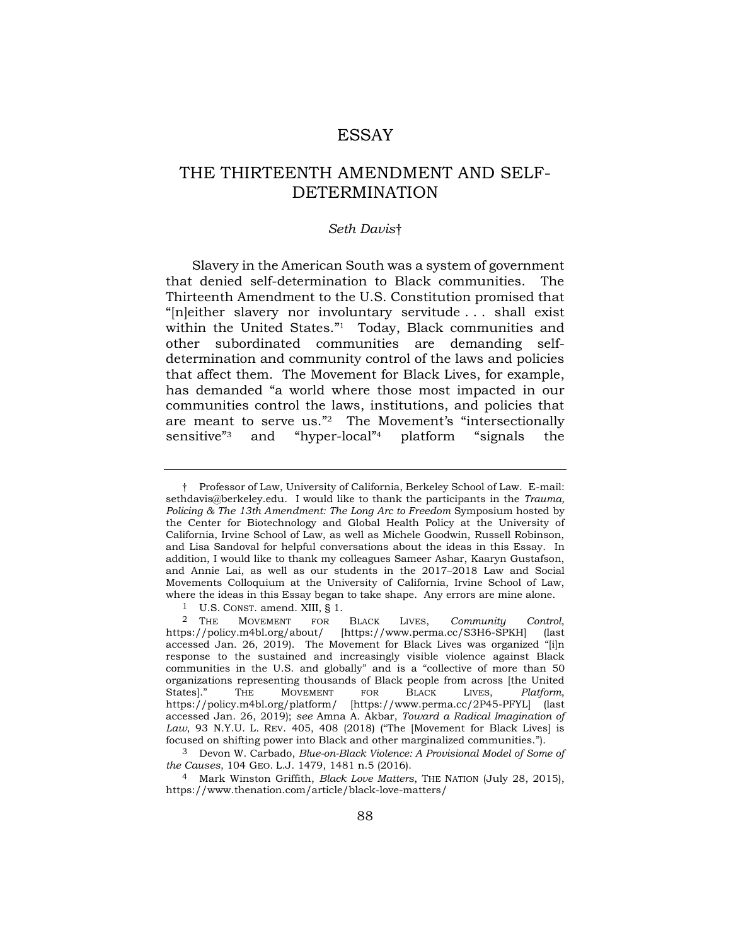# **ESSAY**

# THE THIRTEENTH AMENDMENT AND SELF-DETERMINATION

## *Seth Davis*†

Slavery in the American South was a system of government that denied self-determination to Black communities. The Thirteenth Amendment to the U.S. Constitution promised that "[n]either slavery nor involuntary servitude . . . shall exist within the United States."<sup>1</sup> Today, Black communities and other subordinated communities are demanding selfdetermination and community control of the laws and policies that affect them. The Movement for Black Lives, for example, has demanded "a world where those most impacted in our communities control the laws, institutions, and policies that are meant to serve us."<sup>2</sup> The Movement's "intersectionally sensitive"<sup>3</sup> and "hyper-local"<sup>4</sup> <sup>4</sup> platform "signals the

<span id="page-0-0"></span><sup>†</sup> Professor of Law, University of California, Berkeley School of Law. E-mail: sethdavis@berkeley.edu. I would like to thank the participants in the *Trauma, Policing & The 13th Amendment: The Long Arc to Freedom* Symposium hosted by the Center for Biotechnology and Global Health Policy at the University of California, Irvine School of Law, as well as Michele Goodwin, Russell Robinson, and Lisa Sandoval for helpful conversations about the ideas in this Essay. In addition, I would like to thank my colleagues Sameer Ashar, Kaaryn Gustafson, and Annie Lai, as well as our students in the 2017–2018 Law and Social Movements Colloquium at the University of California, Irvine School of Law, where the ideas in this Essay began to take shape. Any errors are mine alone.

<sup>1</sup> U.S. CONST. amend. XIII, § 1.

<sup>2</sup> THE MOVEMENT FOR BLACK LIVES, *Community Control*, https://policy.m4bl.org/about/ [https://www.perma.cc/S3H6-SPKH] (last accessed Jan. 26, 2019). The Movement for Black Lives was organized "[i]n response to the sustained and increasingly visible violence against Black communities in the U.S. and globally" and is a "collective of more than 50 organizations representing thousands of Black people from across [the United States]." THE MOVEMENT FOR BLACK LIVES, *Platform*, https://policy.m4bl.org/platform/ [https://www.perma.cc/2P45-PFYL] (last accessed Jan. 26, 2019); *see* Amna A. Akbar, *Toward a Radical Imagination of Law*, 93 N.Y.U. L. REV. 405, 408 (2018) ("The [Movement for Black Lives] is focused on shifting power into Black and other marginalized communities.").

<sup>3</sup> Devon W. Carbado, *Blue-on-Black Violence: A Provisional Model of Some of the Causes*, 104 GEO. L.J. 1479, 1481 n.5 (2016).

<sup>4</sup> Mark Winston Griffith, *Black Love Matters*, THE NATION (July 28, 2015), https://www.thenation.com/article/black-love-matters/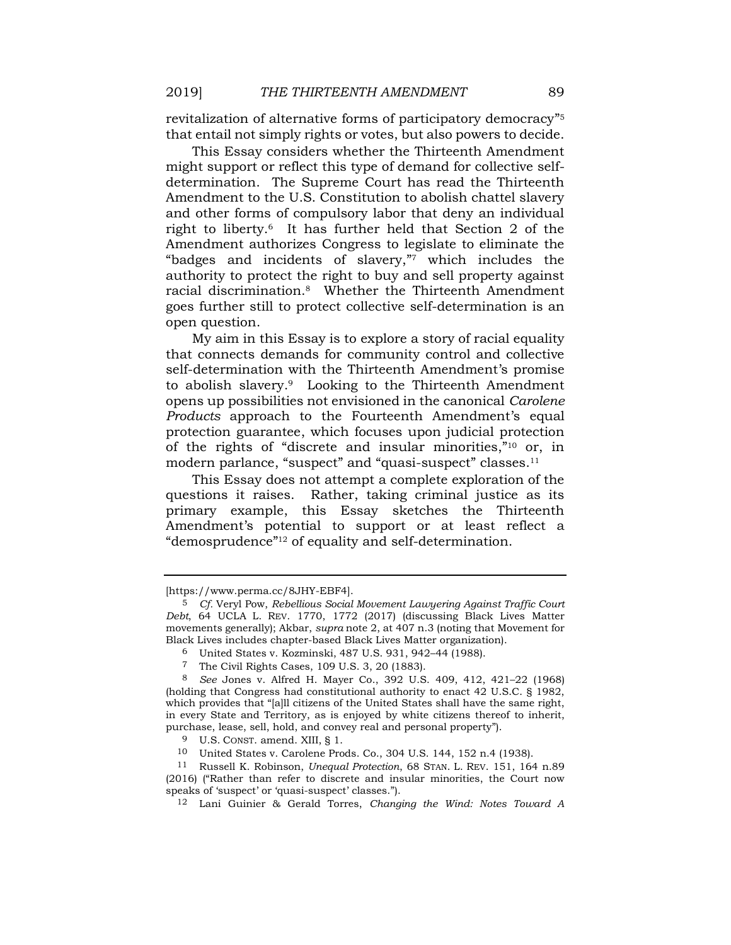revitalization of alternative forms of participatory democracy" 5 that entail not simply rights or votes, but also powers to decide.

This Essay considers whether the Thirteenth Amendment might support or reflect this type of demand for collective selfdetermination. The Supreme Court has read the Thirteenth Amendment to the U.S. Constitution to abolish chattel slavery and other forms of compulsory labor that deny an individual right to liberty. <sup>6</sup> It has further held that Section 2 of the Amendment authorizes Congress to legislate to eliminate the "badges and incidents of slavery," <sup>7</sup> which includes the authority to protect the right to buy and sell property against racial discrimination.8 Whether the Thirteenth Amendment goes further still to protect collective self-determination is an open question.

My aim in this Essay is to explore a story of racial equality that connects demands for community control and collective self-determination with the Thirteenth Amendment's promise to abolish slavery.9 Looking to the Thirteenth Amendment opens up possibilities not envisioned in the canonical *Carolene Products* approach to the Fourteenth Amendment's equal protection guarantee, which focuses upon judicial protection of the rights of "discrete and insular minorities," <sup>10</sup> or, in modern parlance, "suspect" and "quasi-suspect" classes.<sup>11</sup>

<span id="page-1-0"></span>This Essay does not attempt a complete exploration of the questions it raises. Rather, taking criminal justice as its primary example, this Essay sketches the Thirteenth Amendment's potential to support or at least reflect a "demosprudence" <sup>12</sup> of equality and self-determination.

<span id="page-1-1"></span><sup>[</sup>https://www.perma.cc/8JHY-EBF4].

<sup>5</sup> *Cf.* Veryl Pow, *Rebellious Social Movement Lawyering Against Traffic Court Debt*, 64 UCLA L. REV. 1770, 1772 (2017) (discussing Black Lives Matter movements generally); Akbar, *supra* note [2,](#page-0-0) at 407 n.3 (noting that Movement for Black Lives includes chapter-based Black Lives Matter organization).

<sup>6</sup> United States v. Kozminski, 487 U.S. 931, 942–44 (1988).

<sup>7</sup> The Civil Rights Cases, 109 U.S. 3, 20 (1883).

<sup>8</sup> *See* Jones v. Alfred H. Mayer Co., 392 U.S. 409, 412, 421–22 (1968) (holding that Congress had constitutional authority to enact 42 U.S.C. § 1982, which provides that "[a]ll citizens of the United States shall have the same right, in every State and Territory, as is enjoyed by white citizens thereof to inherit, purchase, lease, sell, hold, and convey real and personal property").

<sup>9</sup> U.S. CONST. amend. XIII, § 1.

<sup>10</sup> United States v. Carolene Prods. Co., 304 U.S. 144, 152 n.4 (1938).

<sup>11</sup> Russell K. Robinson, *Unequal Protection*, 68 STAN. L. REV. 151, 164 n.89 (2016) ("Rather than refer to discrete and insular minorities, the Court now speaks of 'suspect' or 'quasi-suspect' classes.").

<sup>12</sup> Lani Guinier & Gerald Torres, *Changing the Wind: Notes Toward A*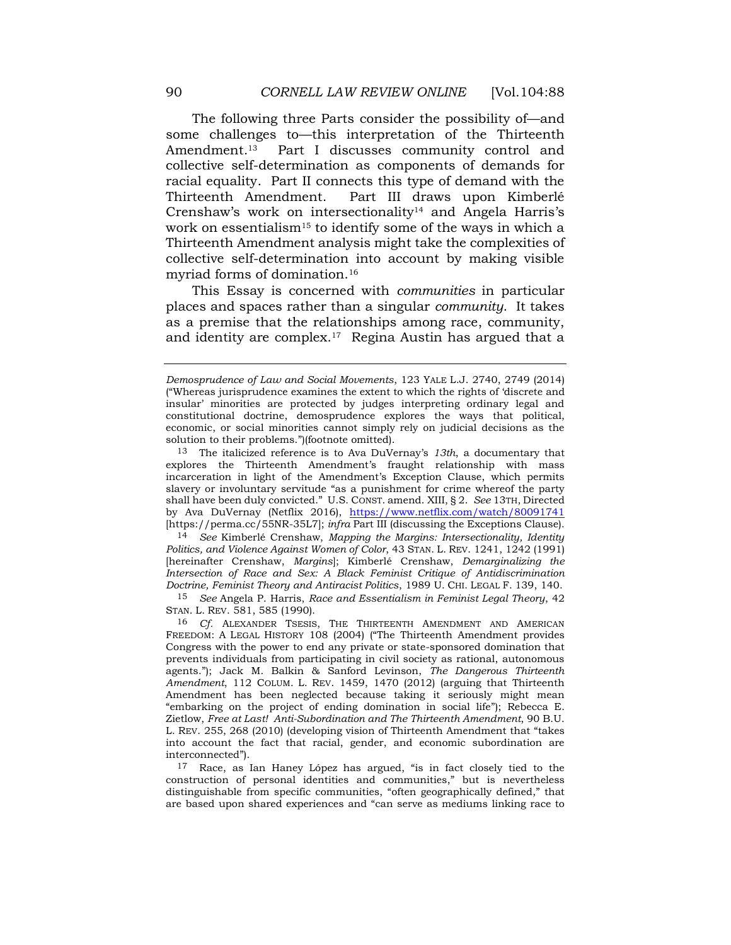The following three Parts consider the possibility of—and some challenges to—this interpretation of the Thirteenth Amendment.<sup>13</sup> Part I discusses community control and collective self-determination as components of demands for racial equality. Part II connects this type of demand with the Thirteenth Amendment. Part III draws upon Kimberlé Crenshaw's work on intersectionality<sup>14</sup> and Angela Harris's work on essentialism<sup>15</sup> to identify some of the ways in which a Thirteenth Amendment analysis might take the complexities of collective self-determination into account by making visible myriad forms of domination.<sup>16</sup>

This Essay is concerned with *communities* in particular places and spaces rather than a singular *community*. It takes as a premise that the relationships among race, community, and identity are complex.17 Regina Austin has argued that a

14 *See* Kimberlé Crenshaw, *Mapping the Margins: Intersectionality, Identity Politics, and Violence Against Women of Color*, 43 STAN. L. REV. 1241, 1242 (1991) [hereinafter Crenshaw, *Margins*]; Kimberlé Crenshaw, *Demarginalizing the Intersection of Race and Sex: A Black Feminist Critique of Antidiscrimination Doctrine, Feminist Theory and Antiracist Politics*, 1989 U. CHI. LEGAL F. 139, 140.

15 *See* Angela P. Harris, *Race and Essentialism in Feminist Legal Theory*, 42 STAN. L. REV. 581, 585 (1990).

16 *Cf.* ALEXANDER TSESIS, THE THIRTEENTH AMENDMENT AND AMERICAN FREEDOM: A LEGAL HISTORY 108 (2004) ("The Thirteenth Amendment provides Congress with the power to end any private or state-sponsored domination that prevents individuals from participating in civil society as rational, autonomous agents."); Jack M. Balkin & Sanford Levinson, *The Dangerous Thirteenth Amendment*, 112 COLUM. L. REV. 1459, 1470 (2012) (arguing that Thirteenth Amendment has been neglected because taking it seriously might mean "embarking on the project of ending domination in social life"); Rebecca E. Zietlow, *Free at Last! Anti-Subordination and The Thirteenth Amendment*, 90 B.U. L. REV. 255, 268 (2010) (developing vision of Thirteenth Amendment that "takes into account the fact that racial, gender, and economic subordination are interconnected").

17 Race, as Ian Haney López has argued, "is in fact closely tied to the construction of personal identities and communities," but is nevertheless distinguishable from specific communities, "often geographically defined," that are based upon shared experiences and "can serve as mediums linking race to

*Demosprudence of Law and Social Movements*, 123 YALE L.J. 2740, 2749 (2014) ("Whereas jurisprudence examines the extent to which the rights of 'discrete and insular' minorities are protected by judges interpreting ordinary legal and constitutional doctrine, demosprudence explores the ways that political, economic, or social minorities cannot simply rely on judicial decisions as the solution to their problems.")(footnote omitted).

<sup>13</sup> The italicized reference is to Ava DuVernay's *13th*, a documentary that explores the Thirteenth Amendment's fraught relationship with mass incarceration in light of the Amendment's Exception Clause, which permits slavery or involuntary servitude "as a punishment for crime whereof the party shall have been duly convicted." U.S. CONST. amend. XIII, § 2. *See* 13TH, Directed by Ava DuVernay (Netflix 2016), <https://www.netflix.com/watch/80091741> [https://perma.cc/55NR-35L7]; *infra* Part III (discussing the Exceptions Clause).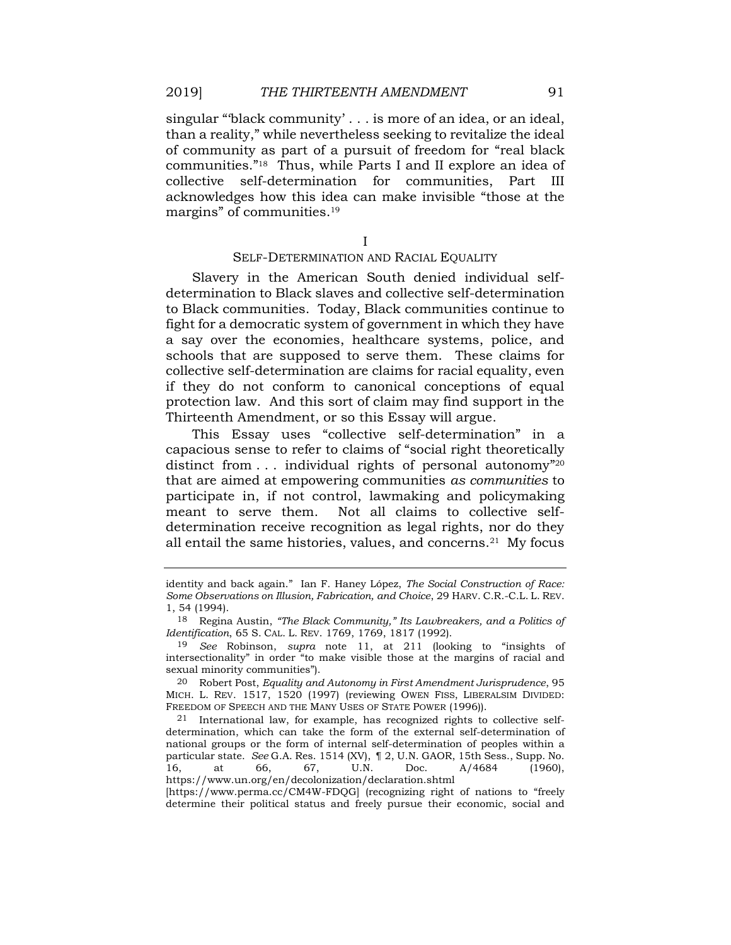singular "'black community' . . . is more of an idea, or an ideal, than a reality," while nevertheless seeking to revitalize the ideal of community as part of a pursuit of freedom for "real black communities." <sup>18</sup> Thus, while Parts I and II explore an idea of collective self-determination for communities, Part III acknowledges how this idea can make invisible "those at the margins" of communities.<sup>19</sup>

<span id="page-3-0"></span>I

# SELF-DETERMINATION AND RACIAL EQUALITY

Slavery in the American South denied individual selfdetermination to Black slaves and collective self-determination to Black communities. Today, Black communities continue to fight for a democratic system of government in which they have a say over the economies, healthcare systems, police, and schools that are supposed to serve them. These claims for collective self-determination are claims for racial equality, even if they do not conform to canonical conceptions of equal protection law. And this sort of claim may find support in the Thirteenth Amendment, or so this Essay will argue.

This Essay uses "collective self-determination" in a capacious sense to refer to claims of "social right theoretically distinct from . . . individual rights of personal autonomy" 20 that are aimed at empowering communities *as communities* to participate in, if not control, lawmaking and policymaking meant to serve them. Not all claims to collective selfdetermination receive recognition as legal rights, nor do they all entail the same histories, values, and concerns.21 My focus

identity and back again." Ian F. Haney López, *The Social Construction of Race: Some Observations on Illusion, Fabrication, and Choice*, 29 HARV. C.R.-C.L. L. REV. 1, 54 (1994).

<sup>18</sup> Regina Austin, *"The Black Community," Its Lawbreakers, and a Politics of Identification*, 65 S. CAL. L. REV. 1769, 1769, 1817 (1992).

<sup>19</sup> *See* Robinson, *supra* note [11,](#page-1-0) at 211 (looking to "insights of intersectionality" in order "to make visible those at the margins of racial and sexual minority communities").

<sup>20</sup> Robert Post, *Equality and Autonomy in First Amendment Jurisprudence*, 95 MICH. L. REV. 1517, 1520 (1997) (reviewing OWEN FISS, LIBERALSIM DIVIDED: FREEDOM OF SPEECH AND THE MANY USES OF STATE POWER (1996)).

<sup>21</sup> International law, for example, has recognized rights to collective selfdetermination, which can take the form of the external self-determination of national groups or the form of internal self-determination of peoples within a particular state. *See* G.A. Res. 1514 (XV), ¶ 2, U.N. GAOR, 15th Sess., Supp. No. 16, at 66, 67, U.N. Doc. A/4684 (1960), https://www.un.org/en/decolonization/declaration.shtml

<sup>[</sup>https://www.perma.cc/CM4W-FDQG] (recognizing right of nations to "freely determine their political status and freely pursue their economic, social and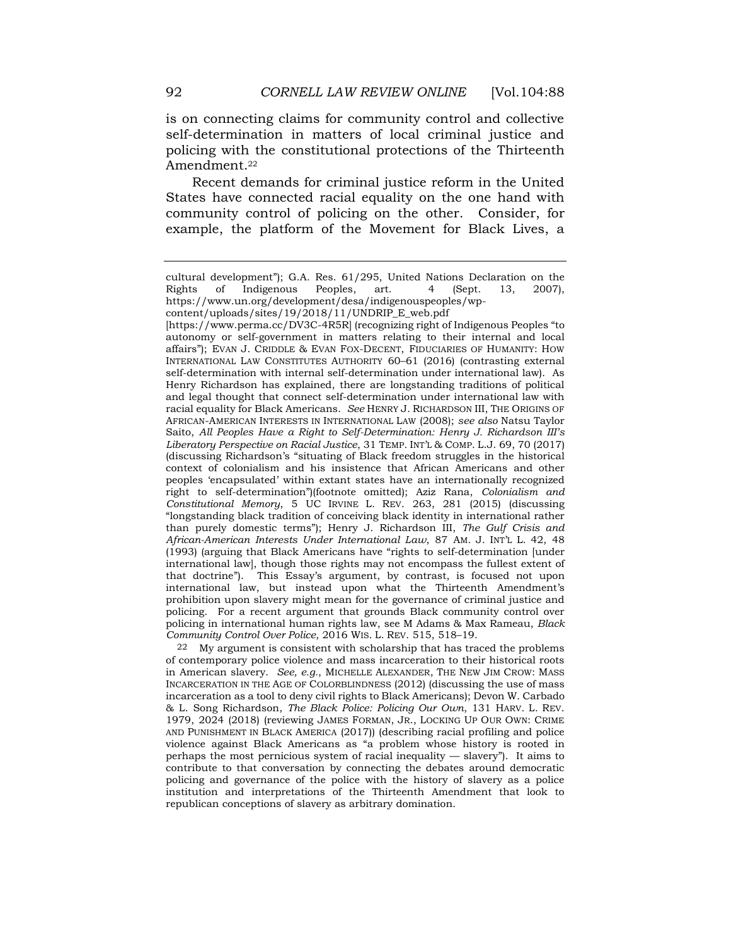is on connecting claims for community control and collective self-determination in matters of local criminal justice and policing with the constitutional protections of the Thirteenth Amendment.<sup>22</sup>

<span id="page-4-0"></span>Recent demands for criminal justice reform in the United States have connected racial equality on the one hand with community control of policing on the other. Consider, for example, the platform of the Movement for Black Lives, a

[https://www.perma.cc/DV3C-4R5R] (recognizing right of Indigenous Peoples "to autonomy or self-government in matters relating to their internal and local affairs"); EVAN J. CRIDDLE & EVAN FOX-DECENT, FIDUCIARIES OF HUMANITY: HOW INTERNATIONAL LAW CONSTITUTES AUTHORITY 60–61 (2016) (contrasting external self-determination with internal self-determination under international law). As Henry Richardson has explained, there are longstanding traditions of political and legal thought that connect self-determination under international law with racial equality for Black Americans. *See* HENRY J. RICHARDSON III, THE ORIGINS OF AFRICAN-AMERICAN INTERESTS IN INTERNATIONAL LAW (2008); *see also* Natsu Taylor Saito, *All Peoples Have a Right to Self-Determination: Henry J. Richardson III's Liberatory Perspective on Racial Justice*, 31 TEMP. INT'L & COMP. L.J. 69, 70 (2017) (discussing Richardson's "situating of Black freedom struggles in the historical context of colonialism and his insistence that African Americans and other peoples 'encapsulated' within extant states have an internationally recognized right to self-determination")(footnote omitted); Aziz Rana, *Colonialism and Constitutional Memory*, 5 UC IRVINE L. REV. 263, 281 (2015) (discussing "longstanding black tradition of conceiving black identity in international rather than purely domestic terms"); Henry J. Richardson III, *The Gulf Crisis and African-American Interests Under International Law*, 87 AM. J. INT'L L. 42, 48 (1993) (arguing that Black Americans have "rights to self-determination [under international law], though those rights may not encompass the fullest extent of that doctrine"). This Essay's argument, by contrast, is focused not upon international law, but instead upon what the Thirteenth Amendment's prohibition upon slavery might mean for the governance of criminal justice and policing. For a recent argument that grounds Black community control over policing in international human rights law, see M Adams & Max Rameau, *Black Community Control Over Police*, 2016 WIS. L. REV. 515, 518–19.

22 My argument is consistent with scholarship that has traced the problems of contemporary police violence and mass incarceration to their historical roots in American slavery. *See, e.g.*, MICHELLE ALEXANDER, THE NEW JIM CROW: MASS INCARCERATION IN THE AGE OF COLORBLINDNESS (2012) (discussing the use of mass incarceration as a tool to deny civil rights to Black Americans); Devon W. Carbado & L. Song Richardson, *The Black Police: Policing Our Own*, 131 HARV. L. REV. 1979, 2024 (2018) (reviewing JAMES FORMAN, JR., LOCKING UP OUR OWN: CRIME AND PUNISHMENT IN BLACK AMERICA (2017)) (describing racial profiling and police violence against Black Americans as "a problem whose history is rooted in perhaps the most pernicious system of racial inequality — slavery"). It aims to contribute to that conversation by connecting the debates around democratic policing and governance of the police with the history of slavery as a police institution and interpretations of the Thirteenth Amendment that look to republican conceptions of slavery as arbitrary domination.

cultural development"); G.A. Res. 61/295, United Nations Declaration on the Rights of Indigenous Peoples, art. 4 (Sept. 13, 2007), https://www.un.org/development/desa/indigenouspeoples/wp-

content/uploads/sites/19/2018/11/UNDRIP\_E\_web.pdf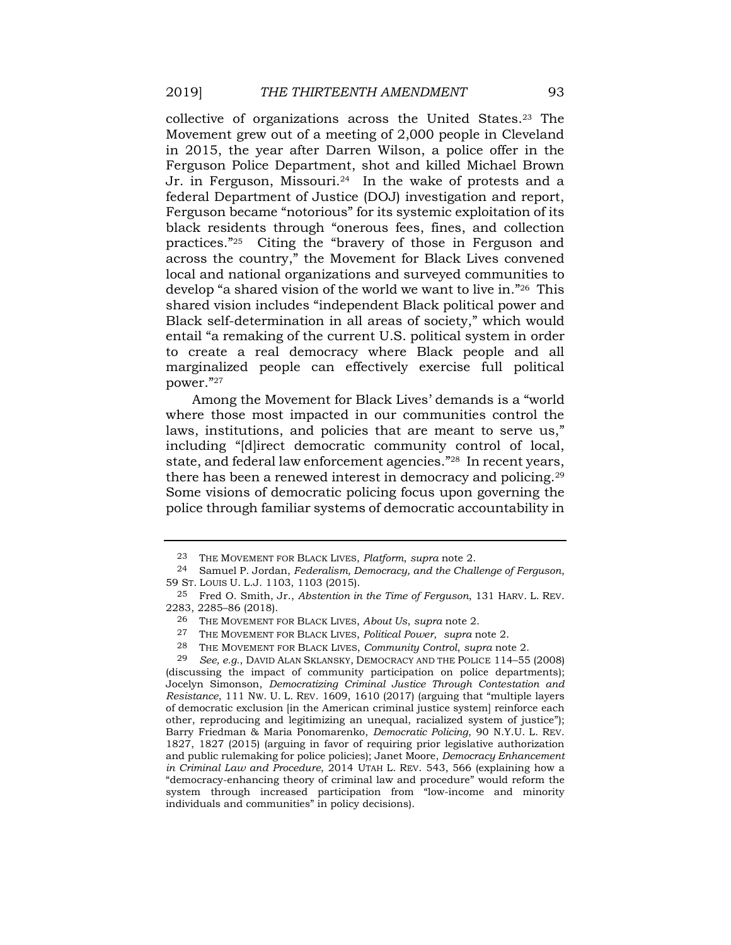collective of organizations across the United States.<sup>23</sup> The Movement grew out of a meeting of 2,000 people in Cleveland in 2015, the year after Darren Wilson, a police offer in the Ferguson Police Department, shot and killed Michael Brown Jr. in Ferguson, Missouri.<sup>24</sup> In the wake of protests and a federal Department of Justice (DOJ) investigation and report, Ferguson became "notorious" for its systemic exploitation of its black residents through "onerous fees, fines, and collection practices." <sup>25</sup> Citing the "bravery of those in Ferguson and across the country," the Movement for Black Lives convened local and national organizations and surveyed communities to develop "a shared vision of the world we want to live in." <sup>26</sup> This shared vision includes "independent Black political power and Black self-determination in all areas of society," which would entail "a remaking of the current U.S. political system in order to create a real democracy where Black people and all marginalized people can effectively exercise full political power." 27

Among the Movement for Black Lives' demands is a "world where those most impacted in our communities control the laws, institutions, and policies that are meant to serve us," including "[d]irect democratic community control of local, state, and federal law enforcement agencies." <sup>28</sup> In recent years, there has been a renewed interest in democracy and policing.<sup>29</sup> Some visions of democratic policing focus upon governing the police through familiar systems of democratic accountability in

28 THE MOVEMENT FOR BLACK LIVES, *Community Control*, *supra* not[e 2.](#page-0-0)

<span id="page-5-0"></span><sup>23</sup> THE MOVEMENT FOR BLACK LIVES, *Platform*, *supra* note [2.](#page-0-0)

<sup>24</sup> Samuel P. Jordan, *Federalism, Democracy, and the Challenge of Ferguson*, 59 ST. LOUIS U. L.J. 1103, 1103 (2015).

<sup>25</sup> Fred O. Smith, Jr., *Abstention in the Time of Ferguson*, 131 HARV. L. REV. 2283, 2285–86 (2018).

<sup>26</sup> THE MOVEMENT FOR BLACK LIVES, *About Us*, *supra* note [2.](#page-0-0)

<sup>27</sup> THE MOVEMENT FOR BLACK LIVES, *Political Power*, *supra* note [2.](#page-0-0)

<sup>29</sup> *See, e.g.*, DAVID ALAN SKLANSKY, DEMOCRACY AND THE POLICE 114–55 (2008) (discussing the impact of community participation on police departments); Jocelyn Simonson, *Democratizing Criminal Justice Through Contestation and Resistance*, 111 NW. U. L. REV. 1609, 1610 (2017) (arguing that "multiple layers of democratic exclusion [in the American criminal justice system] reinforce each other, reproducing and legitimizing an unequal, racialized system of justice"); Barry Friedman & Maria Ponomarenko, *Democratic Policing*, 90 N.Y.U. L. REV. 1827, 1827 (2015) (arguing in favor of requiring prior legislative authorization and public rulemaking for police policies); Janet Moore, *Democracy Enhancement in Criminal Law and Procedure*, 2014 UTAH L. REV. 543, 566 (explaining how a "democracy-enhancing theory of criminal law and procedure" would reform the system through increased participation from "low-income and minority individuals and communities" in policy decisions).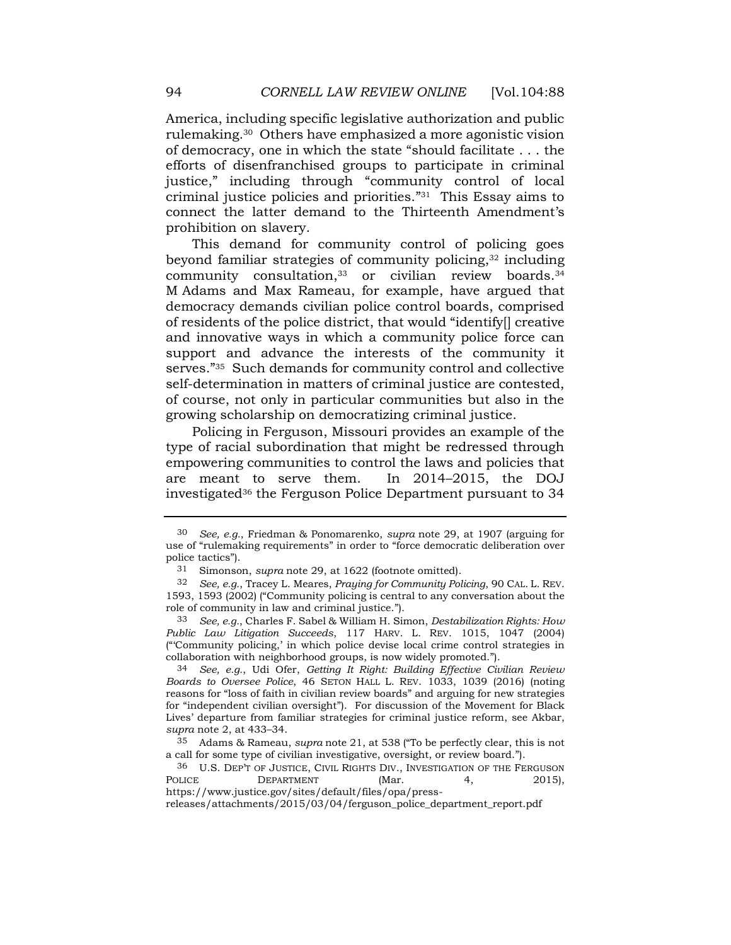America, including specific legislative authorization and public rulemaking.30 Others have emphasized a more agonistic vision of democracy, one in which the state "should facilitate . . . the efforts of disenfranchised groups to participate in criminal justice," including through "community control of local criminal justice policies and priorities." <sup>31</sup> This Essay aims to connect the latter demand to the Thirteenth Amendment's prohibition on slavery.

This demand for community control of policing goes beyond familiar strategies of community policing,<sup>32</sup> including community consultation,<sup>33</sup> or civilian review boards.<sup>34</sup> M Adams and Max Rameau, for example, have argued that democracy demands civilian police control boards, comprised of residents of the police district, that would "identify[] creative and innovative ways in which a community police force can support and advance the interests of the community it serves." <sup>35</sup> Such demands for community control and collective self-determination in matters of criminal justice are contested, of course, not only in particular communities but also in the growing scholarship on democratizing criminal justice.

Policing in Ferguson, Missouri provides an example of the type of racial subordination that might be redressed through empowering communities to control the laws and policies that are meant to serve them. In 2014–2015, the DOJ investigated<sup>36</sup> the Ferguson Police Department pursuant to 34

36 U.S. DEP'T OF JUSTICE, CIVIL RIGHTS DIV., INVESTIGATION OF THE FERGUSON POLICE DEPARTMENT (Mar. 4, 2015), https://www.justice.gov/sites/default/files/opa/press-

releases/attachments/2015/03/04/ferguson\_police\_department\_report.pdf

<span id="page-6-0"></span><sup>30</sup> *See, e.g.*, Friedman & Ponomarenko, *supra* note [29,](#page-5-0) at 1907 (arguing for use of "rulemaking requirements" in order to "force democratic deliberation over police tactics").

<sup>31</sup> Simonson, *supra* note [29,](#page-5-0) at 1622 (footnote omitted).

<sup>32</sup> *See, e.g.*, Tracey L. Meares, *Praying for Community Policing*, 90 CAL. L. REV. 1593, 1593 (2002) ("Community policing is central to any conversation about the role of community in law and criminal justice.").

<sup>33</sup> *See, e.g.*, Charles F. Sabel & William H. Simon, *Destabilization Rights: How Public Law Litigation Succeeds*, 117 HARV. L. REV. 1015, 1047 (2004) ("'Community policing,' in which police devise local crime control strategies in collaboration with neighborhood groups, is now widely promoted.").

<sup>34</sup> *See, e.g.*, Udi Ofer, *Getting It Right: Building Effective Civilian Review Boards to Oversee Police*, 46 SETON HALL L. REV. 1033, 1039 (2016) (noting reasons for "loss of faith in civilian review boards" and arguing for new strategies for "independent civilian oversight"). For discussion of the Movement for Black Lives' departure from familiar strategies for criminal justice reform, see Akbar, *supra* note [2,](#page-0-0) at 433–34.

<sup>35</sup> Adams & Rameau, *supra* note 21, at 538 ("To be perfectly clear, this is not a call for some type of civilian investigative, oversight, or review board.").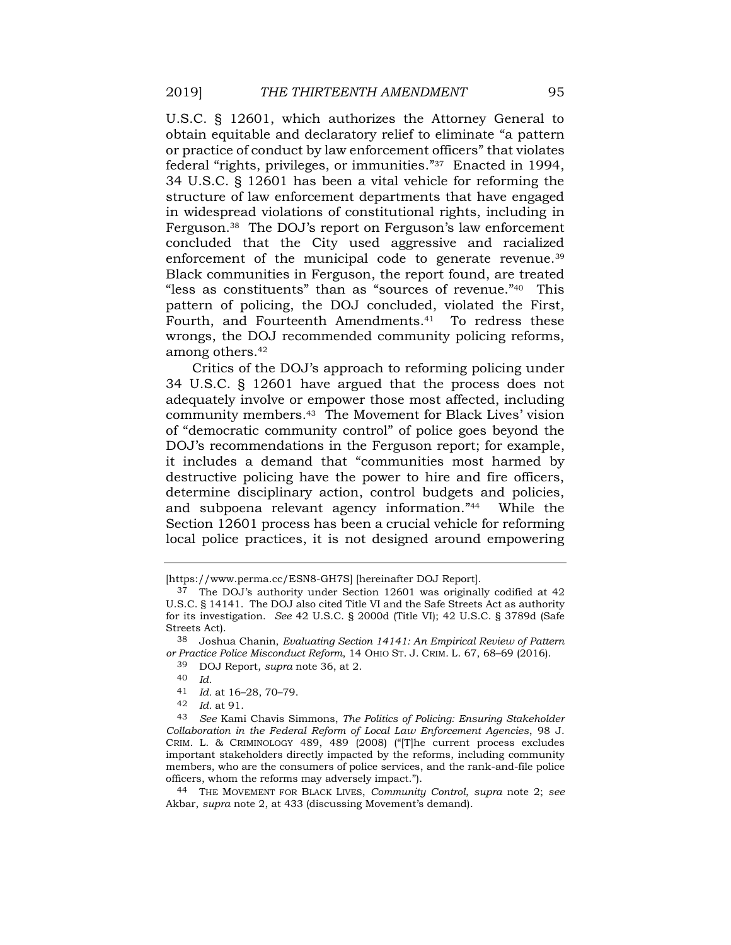U.S.C. § 12601, which authorizes the Attorney General to obtain equitable and declaratory relief to eliminate "a pattern or practice of conduct by law enforcement officers" that violates federal "rights, privileges, or immunities." <sup>37</sup> Enacted in 1994, 34 U.S.C. § 12601 has been a vital vehicle for reforming the structure of law enforcement departments that have engaged in widespread violations of constitutional rights, including in Ferguson.38 The DOJ's report on Ferguson's law enforcement concluded that the City used aggressive and racialized enforcement of the municipal code to generate revenue.<sup>39</sup> Black communities in Ferguson, the report found, are treated "less as constituents" than as "sources of revenue." <sup>40</sup> This pattern of policing, the DOJ concluded, violated the First, Fourth, and Fourteenth Amendments.<sup>41</sup> To redress these wrongs, the DOJ recommended community policing reforms, among others.<sup>42</sup>

Critics of the DOJ's approach to reforming policing under 34 U.S.C. § 12601 have argued that the process does not adequately involve or empower those most affected, including community members. <sup>43</sup> The Movement for Black Lives' vision of "democratic community control" of police goes beyond the DOJ's recommendations in the Ferguson report; for example, it includes a demand that "communities most harmed by destructive policing have the power to hire and fire officers, determine disciplinary action, control budgets and policies, and subpoena relevant agency information." <sup>44</sup> While the Section 12601 process has been a crucial vehicle for reforming local police practices, it is not designed around empowering

<sup>[</sup>https://www.perma.cc/ESN8-GH7S] [hereinafter DOJ Report].

<sup>37</sup> The DOJ's authority under Section 12601 was originally codified at 42 U.S.C. § 14141. The DOJ also cited Title VI and the Safe Streets Act as authority for its investigation. *See* 42 U.S.C. § 2000d (Title VI); 42 U.S.C. § 3789d (Safe Streets Act).

<sup>38</sup> Joshua Chanin, *Evaluating Section 14141: An Empirical Review of Pattern or Practice Police Misconduct Reform*, 14 OHIO ST. J. CRIM. L. 67, 68–69 (2016).

<sup>39</sup> DOJ Report, *supra* note [36,](#page-6-0) at 2.

<sup>40</sup> *Id.*

<sup>41</sup> *Id.* at 16–28, 70–79.

<sup>42</sup> *Id.* at 91.

<sup>43</sup> *See* Kami Chavis Simmons, *The Politics of Policing: Ensuring Stakeholder Collaboration in the Federal Reform of Local Law Enforcement Agencies*, 98 J. CRIM. L. & CRIMINOLOGY 489, 489 (2008) ("[T]he current process excludes important stakeholders directly impacted by the reforms, including community members, who are the consumers of police services, and the rank-and-file police officers, whom the reforms may adversely impact.").

<sup>44</sup> THE MOVEMENT FOR BLACK LIVES, *Community Control*, *supra* note [2;](#page-0-0) *see* Akbar, *supra* note [2,](#page-0-0) at 433 (discussing Movement's demand).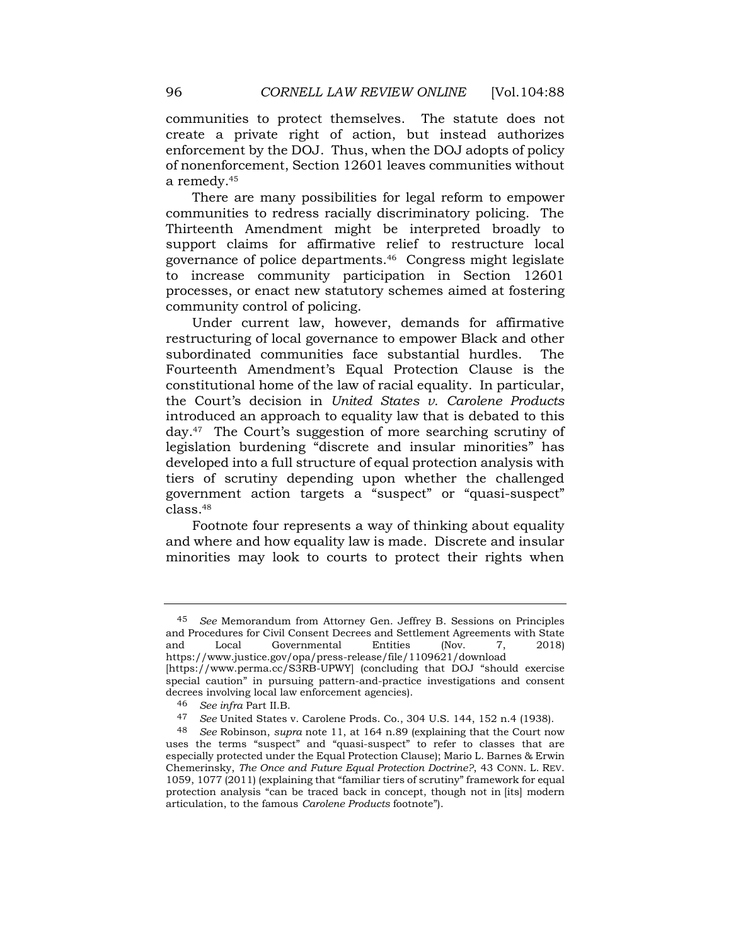communities to protect themselves. The statute does not create a private right of action, but instead authorizes enforcement by the DOJ. Thus, when the DOJ adopts of policy of nonenforcement, Section 12601 leaves communities without a remedy.<sup>45</sup>

There are many possibilities for legal reform to empower communities to redress racially discriminatory policing. The Thirteenth Amendment might be interpreted broadly to support claims for affirmative relief to restructure local governance of police departments.46 Congress might legislate to increase community participation in Section 12601 processes, or enact new statutory schemes aimed at fostering community control of policing.

Under current law, however, demands for affirmative restructuring of local governance to empower Black and other subordinated communities face substantial hurdles. The Fourteenth Amendment's Equal Protection Clause is the constitutional home of the law of racial equality. In particular, the Court's decision in *United States v. Carolene Products*  introduced an approach to equality law that is debated to this day.47 The Court's suggestion of more searching scrutiny of legislation burdening "discrete and insular minorities" has developed into a full structure of equal protection analysis with tiers of scrutiny depending upon whether the challenged government action targets a "suspect" or "quasi-suspect" class.<sup>48</sup>

Footnote four represents a way of thinking about equality and where and how equality law is made. Discrete and insular minorities may look to courts to protect their rights when

<sup>45</sup> *See* Memorandum from Attorney Gen. Jeffrey B. Sessions on Principles and Procedures for Civil Consent Decrees and Settlement Agreements with State and Local Governmental Entities (Nov. 7, 2018) https://www.justice.gov/opa/press-release/file/1109621/download [https://www.perma.cc/S3RB-UPWY] (concluding that DOJ "should exercise special caution" in pursuing pattern-and-practice investigations and consent decrees involving local law enforcement agencies).

<sup>46</sup> *See infra* Part II.B.

<sup>47</sup> *See* United States v. Carolene Prods. Co., 304 U.S. 144, 152 n.4 (1938).

<sup>48</sup> *See* Robinson, *supra* note [11,](#page-1-0) at 164 n.89 (explaining that the Court now uses the terms "suspect" and "quasi-suspect" to refer to classes that are especially protected under the Equal Protection Clause); Mario L. Barnes & Erwin Chemerinsky, *The Once and Future Equal Protection Doctrine?*, 43 CONN. L. REV. 1059, 1077 (2011) (explaining that "familiar tiers of scrutiny" framework for equal protection analysis "can be traced back in concept, though not in [its] modern articulation, to the famous *Carolene Products* footnote").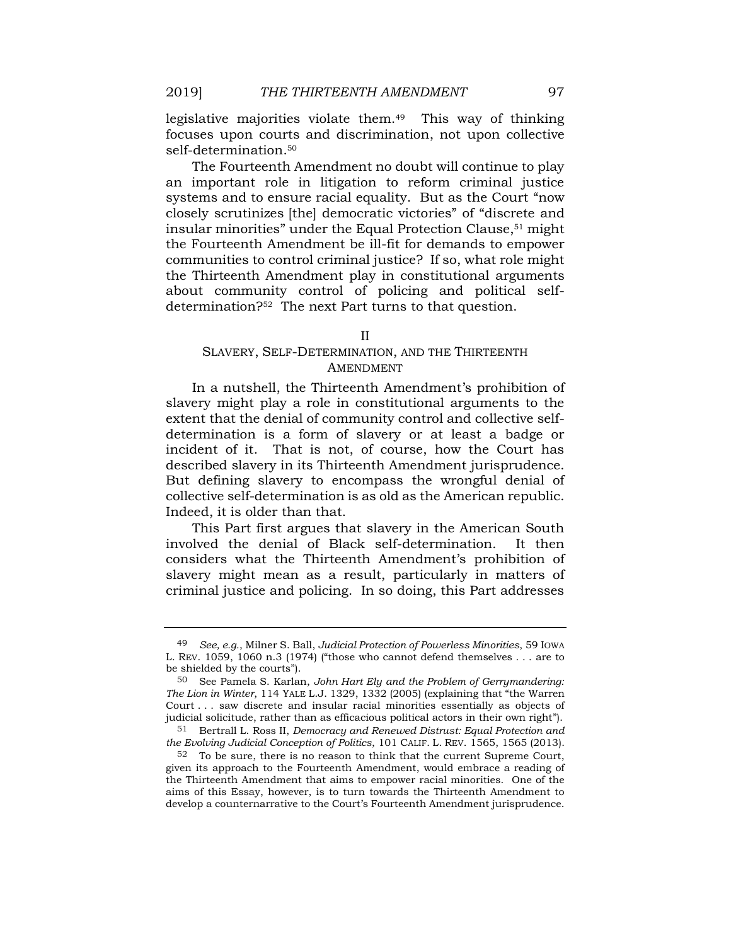legislative majorities violate them.49 This way of thinking focuses upon courts and discrimination, not upon collective self-determination.<sup>50</sup>

The Fourteenth Amendment no doubt will continue to play an important role in litigation to reform criminal justice systems and to ensure racial equality. But as the Court "now closely scrutinizes [the] democratic victories" of "discrete and insular minorities" under the Equal Protection Clause,<sup>51</sup> might the Fourteenth Amendment be ill-fit for demands to empower communities to control criminal justice? If so, what role might the Thirteenth Amendment play in constitutional arguments about community control of policing and political selfdetermination?<sup>52</sup> The next Part turns to that question.

#### II

# SLAVERY, SELF-DETERMINATION, AND THE THIRTEENTH AMENDMENT

In a nutshell, the Thirteenth Amendment's prohibition of slavery might play a role in constitutional arguments to the extent that the denial of community control and collective selfdetermination is a form of slavery or at least a badge or incident of it. That is not, of course, how the Court has described slavery in its Thirteenth Amendment jurisprudence. But defining slavery to encompass the wrongful denial of collective self-determination is as old as the American republic. Indeed, it is older than that.

This Part first argues that slavery in the American South involved the denial of Black self-determination. It then considers what the Thirteenth Amendment's prohibition of slavery might mean as a result, particularly in matters of criminal justice and policing. In so doing, this Part addresses

<sup>49</sup> *See, e.g.*, Milner S. Ball, *Judicial Protection of Powerless Minorities*, 59 IOWA L. REV. 1059, 1060 n.3 (1974) ("those who cannot defend themselves . . . are to be shielded by the courts").

<sup>50</sup> See Pamela S. Karlan, *John Hart Ely and the Problem of Gerrymandering: The Lion in Winter*, 114 YALE L.J. 1329, 1332 (2005) (explaining that "the Warren Court . . . saw discrete and insular racial minorities essentially as objects of judicial solicitude, rather than as efficacious political actors in their own right").

<sup>51</sup> Bertrall L. Ross II, *Democracy and Renewed Distrust: Equal Protection and the Evolving Judicial Conception of Politics*, 101 CALIF. L. REV. 1565, 1565 (2013).

<sup>52</sup> To be sure, there is no reason to think that the current Supreme Court, given its approach to the Fourteenth Amendment, would embrace a reading of the Thirteenth Amendment that aims to empower racial minorities. One of the aims of this Essay, however, is to turn towards the Thirteenth Amendment to develop a counternarrative to the Court's Fourteenth Amendment jurisprudence.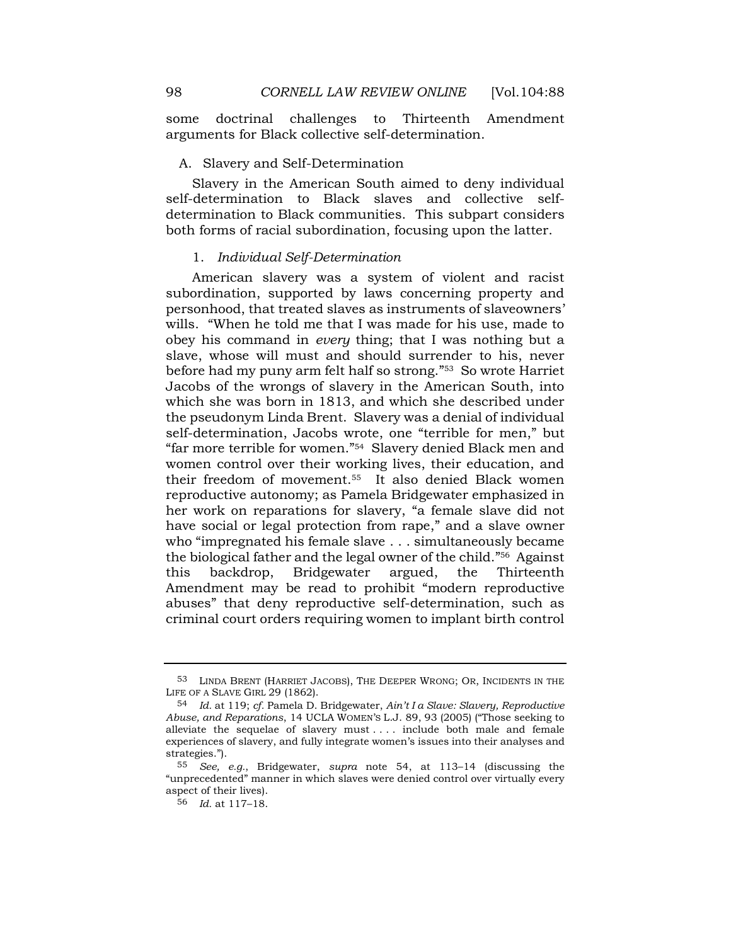some doctrinal challenges to Thirteenth Amendment arguments for Black collective self-determination.

## A. Slavery and Self-Determination

Slavery in the American South aimed to deny individual self-determination to Black slaves and collective selfdetermination to Black communities. This subpart considers both forms of racial subordination, focusing upon the latter.

#### 1. *Individual Self-Determination*

American slavery was a system of violent and racist subordination, supported by laws concerning property and personhood, that treated slaves as instruments of slaveowners' wills. "When he told me that I was made for his use, made to obey his command in *every* thing; that I was nothing but a slave, whose will must and should surrender to his, never before had my puny arm felt half so strong." <sup>53</sup> So wrote Harriet Jacobs of the wrongs of slavery in the American South, into which she was born in 1813, and which she described under the pseudonym Linda Brent. Slavery was a denial of individual self-determination, Jacobs wrote, one "terrible for men," but "far more terrible for women." <sup>54</sup> Slavery denied Black men and women control over their working lives, their education, and their freedom of movement.55 It also denied Black women reproductive autonomy; as Pamela Bridgewater emphasized in her work on reparations for slavery, "a female slave did not have social or legal protection from rape," and a slave owner who "impregnated his female slave . . . simultaneously became the biological father and the legal owner of the child." <sup>56</sup> Against this backdrop, Bridgewater argued, the Thirteenth Amendment may be read to prohibit "modern reproductive abuses" that deny reproductive self-determination, such as criminal court orders requiring women to implant birth control

<sup>53</sup> LINDA BRENT (HARRIET JACOBS), THE DEEPER WRONG; OR, INCIDENTS IN THE LIFE OF A SLAVE GIRL 29 (1862).

<sup>54</sup> *Id.* at 119; *cf.* Pamela D. Bridgewater, *Ain't I a Slave: Slavery, Reproductive Abuse, and Reparations*, 14 UCLA WOMEN'S L.J. 89, 93 (2005) ("Those seeking to alleviate the sequelae of slavery must . . . . include both male and female experiences of slavery, and fully integrate women's issues into their analyses and strategies.").

<sup>55</sup> *See, e.g.*, Bridgewater, *supra* note 54, at 113–14 (discussing the "unprecedented" manner in which slaves were denied control over virtually every aspect of their lives).

<sup>56</sup> *Id.* at 117–18.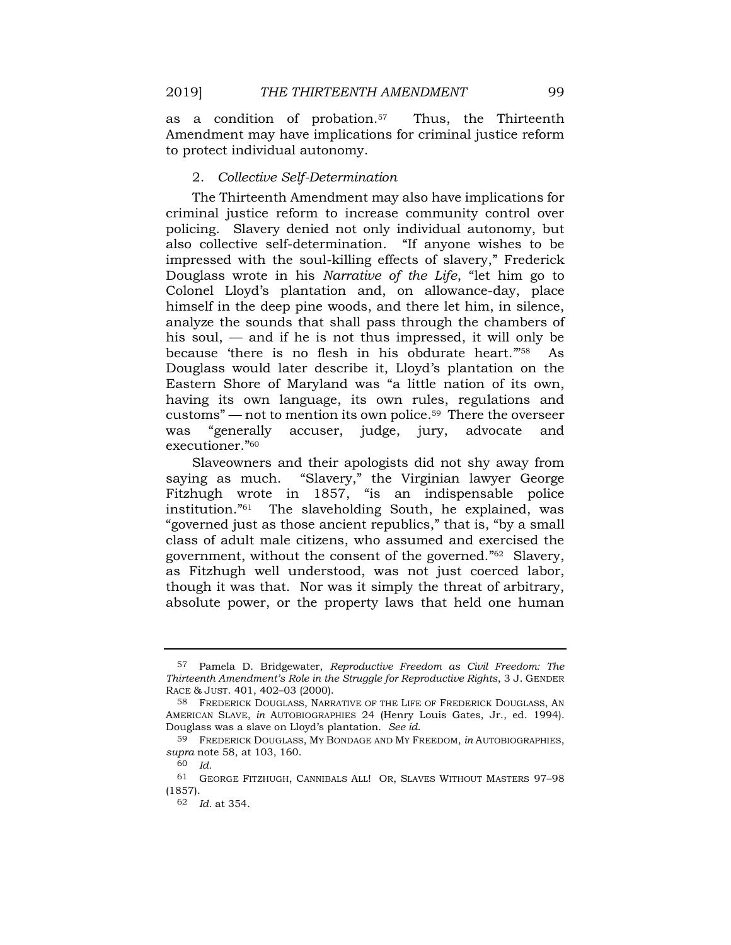as a condition of probation.57 Thus, the Thirteenth Amendment may have implications for criminal justice reform to protect individual autonomy.

## 2. *Collective Self-Determination*

The Thirteenth Amendment may also have implications for criminal justice reform to increase community control over policing. Slavery denied not only individual autonomy, but also collective self-determination. "If anyone wishes to be impressed with the soul-killing effects of slavery," Frederick Douglass wrote in his *Narrative of the Life*, "let him go to Colonel Lloyd's plantation and, on allowance-day, place himself in the deep pine woods, and there let him, in silence, analyze the sounds that shall pass through the chambers of his soul, — and if he is not thus impressed, it will only be because there is no flesh in his obdurate heart."<sup>58</sup> As Douglass would later describe it, Lloyd's plantation on the Eastern Shore of Maryland was "a little nation of its own, having its own language, its own rules, regulations and customs" — not to mention its own police.59 There the overseer was "generally accuser, judge, jury, advocate and executioner." <sup>60</sup>

Slaveowners and their apologists did not shy away from saying as much. "Slavery," the Virginian lawyer George Fitzhugh wrote in 1857, "is an indispensable police institution." The slaveholding South, he explained, was "governed just as those ancient republics," that is, "by a small class of adult male citizens, who assumed and exercised the government, without the consent of the governed." <sup>62</sup> Slavery, as Fitzhugh well understood, was not just coerced labor, though it was that. Nor was it simply the threat of arbitrary, absolute power, or the property laws that held one human

<sup>57</sup> Pamela D. Bridgewater, *Reproductive Freedom as Civil Freedom: The Thirteenth Amendment's Role in the Struggle for Reproductive Rights*, 3 J. GENDER RACE & JUST. 401, 402–03 (2000).

<sup>58</sup> FREDERICK DOUGLASS, NARRATIVE OF THE LIFE OF FREDERICK DOUGLASS, AN AMERICAN SLAVE, *in* AUTOBIOGRAPHIES 24 (Henry Louis Gates, Jr., ed. 1994). Douglass was a slave on Lloyd's plantation. *See id*.

<sup>59</sup> FREDERICK DOUGLASS, MY BONDAGE AND MY FREEDOM, *in* AUTOBIOGRAPHIES, *supra* note 58, at 103, 160.

<sup>60</sup> *Id.*

<sup>61</sup> GEORGE FITZHUGH, CANNIBALS ALL! OR, SLAVES WITHOUT MASTERS 97–98 (1857).

<sup>62</sup> *Id.* at 354.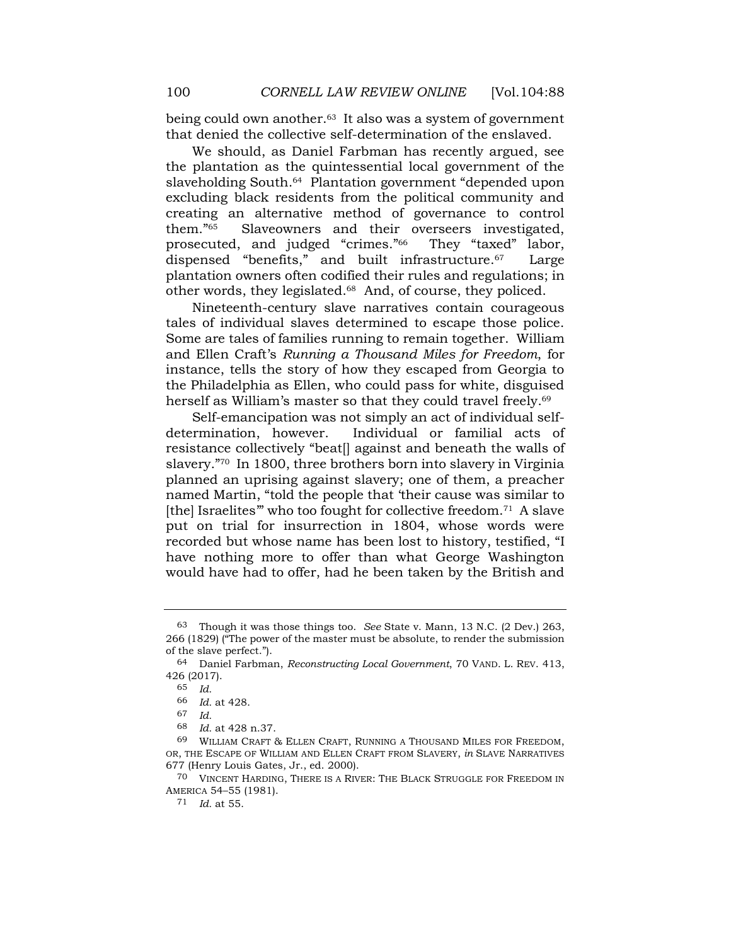being could own another.<sup>63</sup> It also was a system of government that denied the collective self-determination of the enslaved.

We should, as Daniel Farbman has recently argued, see the plantation as the quintessential local government of the slaveholding South.<sup>64</sup> Plantation government "depended upon excluding black residents from the political community and creating an alternative method of governance to control them." Slaveowners and their overseers investigated, prosecuted, and judged "crimes." They "taxed" labor, dispensed "benefits," and built infrastructure.<sup>67</sup> Large plantation owners often codified their rules and regulations; in other words, they legislated.<sup>68</sup> And, of course, they policed.

Nineteenth-century slave narratives contain courageous tales of individual slaves determined to escape those police. Some are tales of families running to remain together. William and Ellen Craft's *Running a Thousand Miles for Freedom*, for instance, tells the story of how they escaped from Georgia to the Philadelphia as Ellen, who could pass for white, disguised herself as William's master so that they could travel freely.<sup>69</sup>

Self-emancipation was not simply an act of individual selfdetermination, however. Individual or familial acts of resistance collectively "beat[] against and beneath the walls of slavery." <sup>70</sup> In 1800, three brothers born into slavery in Virginia planned an uprising against slavery; one of them, a preacher named Martin, "told the people that 'their cause was similar to [the] Israelites" who too fought for collective freedom.<sup>71</sup> A slave put on trial for insurrection in 1804, whose words were recorded but whose name has been lost to history, testified, "I have nothing more to offer than what George Washington would have had to offer, had he been taken by the British and

<sup>63</sup> Though it was those things too. *See* State v. Mann, 13 N.C. (2 Dev.) 263, 266 (1829) ("The power of the master must be absolute, to render the submission of the slave perfect.").

<sup>64</sup> Daniel Farbman, *Reconstructing Local Government*, 70 VAND. L. REV. 413, 426 (2017).

<sup>65</sup> *Id.*

<sup>66</sup> *Id.* at 428.

<sup>67</sup> *Id.*

<sup>68</sup> *Id.* at 428 n.37.

<sup>69</sup> WILLIAM CRAFT & ELLEN CRAFT, RUNNING A THOUSAND MILES FOR FREEDOM, OR, THE ESCAPE OF WILLIAM AND ELLEN CRAFT FROM SLAVERY, *in* SLAVE NARRATIVES 677 (Henry Louis Gates, Jr., ed. 2000).

<sup>70</sup> VINCENT HARDING, THERE IS A RIVER: THE BLACK STRUGGLE FOR FREEDOM IN AMERICA 54–55 (1981).

<sup>71</sup> *Id.* at 55.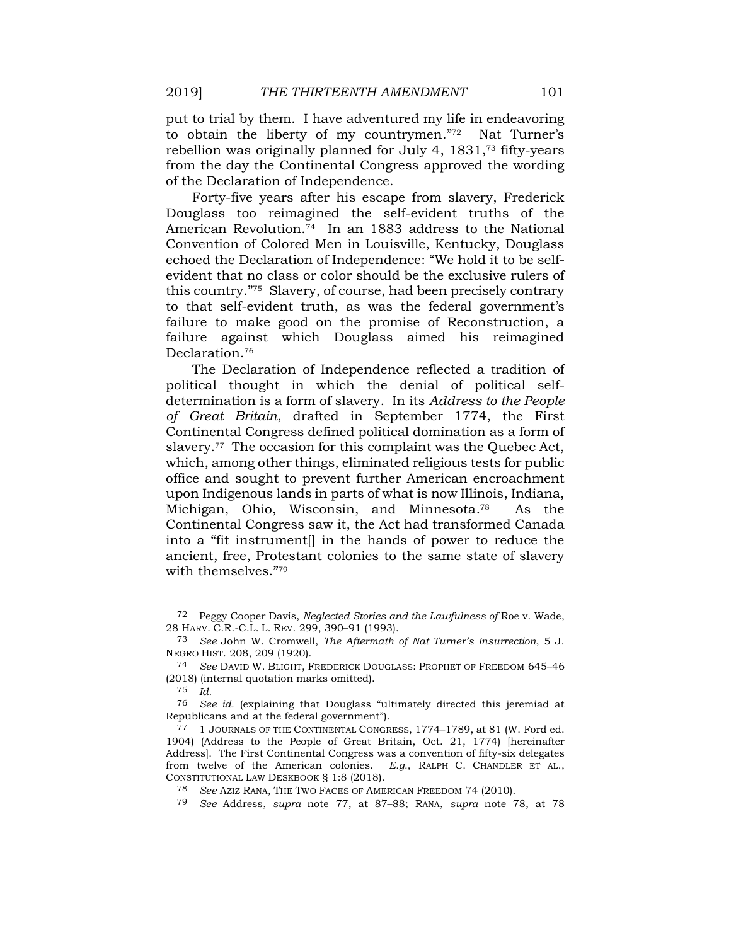put to trial by them. I have adventured my life in endeavoring to obtain the liberty of my countrymen."72 Nat Turner's rebellion was originally planned for July 4, 1831,<sup>73</sup> fifty-years from the day the Continental Congress approved the wording of the Declaration of Independence.

Forty-five years after his escape from slavery, Frederick Douglass too reimagined the self-evident truths of the American Revolution.74 In an 1883 address to the National Convention of Colored Men in Louisville, Kentucky, Douglass echoed the Declaration of Independence: "We hold it to be selfevident that no class or color should be the exclusive rulers of this country." <sup>75</sup> Slavery, of course, had been precisely contrary to that self-evident truth, as was the federal government's failure to make good on the promise of Reconstruction, a failure against which Douglass aimed his reimagined Declaration.<sup>76</sup>

The Declaration of Independence reflected a tradition of political thought in which the denial of political selfdetermination is a form of slavery. In its *Address to the People of Great Britain*, drafted in September 1774, the First Continental Congress defined political domination as a form of slavery.<sup>77</sup> The occasion for this complaint was the Quebec Act, which, among other things, eliminated religious tests for public office and sought to prevent further American encroachment upon Indigenous lands in parts of what is now Illinois, Indiana, Michigan, Ohio, Wisconsin, and Minnesota.<sup>78</sup> As the Continental Congress saw it, the Act had transformed Canada into a "fit instrument[] in the hands of power to reduce the ancient, free, Protestant colonies to the same state of slavery with themselves." 79

<span id="page-13-0"></span><sup>72</sup> Peggy Cooper Davis, *Neglected Stories and the Lawfulness of* Roe v. Wade, 28 HARV. C.R.-C.L. L. REV. 299, 390–91 (1993).

<sup>73</sup> *See* John W. Cromwell, *The Aftermath of Nat Turner's Insurrection*, 5 J. NEGRO HIST. 208, 209 (1920).

<sup>74</sup> *See* DAVID W. BLIGHT, FREDERICK DOUGLASS: PROPHET OF FREEDOM 645–46 (2018) (internal quotation marks omitted).

<sup>75</sup> *Id.*

<sup>76</sup> *See id.* (explaining that Douglass "ultimately directed this jeremiad at Republicans and at the federal government").

<sup>77</sup> 1 JOURNALS OF THE CONTINENTAL CONGRESS, 1774–1789, at 81 (W. Ford ed. 1904) (Address to the People of Great Britain, Oct. 21, 1774) [hereinafter Address]. The First Continental Congress was a convention of fifty-six delegates from twelve of the American colonies. *E.g.*, RALPH C. CHANDLER ET AL., CONSTITUTIONAL LAW DESKBOOK § 1:8 (2018).

<sup>78</sup> *See* AZIZ RANA, THE TWO FACES OF AMERICAN FREEDOM 74 (2010).

<sup>79</sup> *See* Address, *supra* note 77, at 87–88; RANA, *supra* note 78, at 78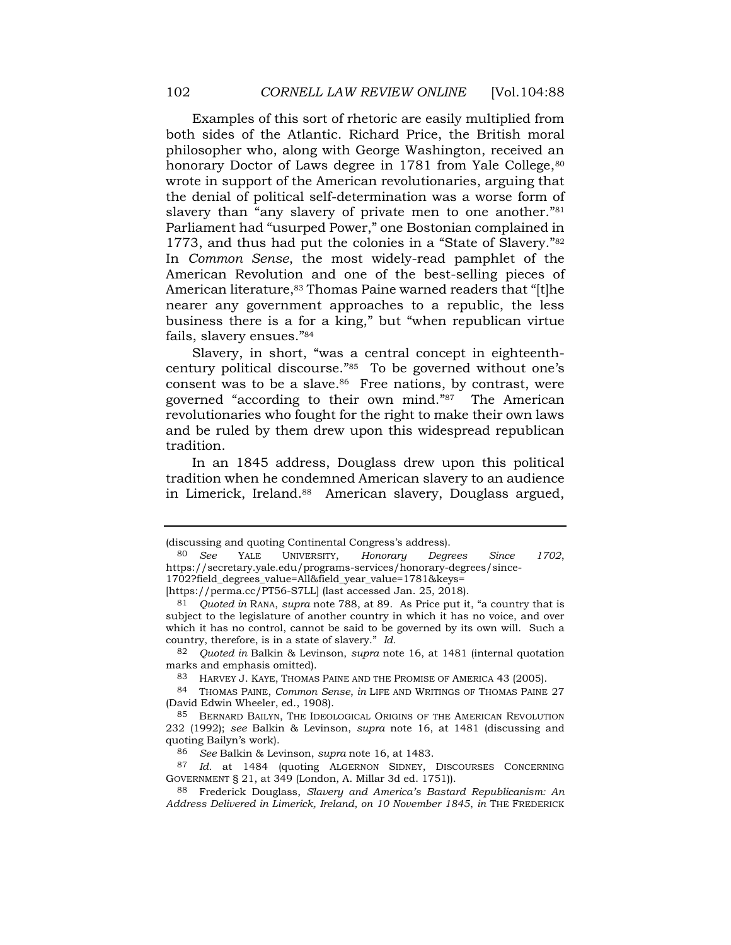Examples of this sort of rhetoric are easily multiplied from both sides of the Atlantic. Richard Price, the British moral philosopher who, along with George Washington, received an honorary Doctor of Laws degree in 1781 from Yale College, 80 wrote in support of the American revolutionaries, arguing that the denial of political self-determination was a worse form of slavery than "any slavery of private men to one another."<sup>81</sup> Parliament had "usurped Power," one Bostonian complained in 1773, and thus had put the colonies in a "State of Slavery." <sup>82</sup> In *Common Sense*, the most widely-read pamphlet of the American Revolution and one of the best-selling pieces of American literature,<sup>83</sup> Thomas Paine warned readers that "[t]he nearer any government approaches to a republic, the less business there is a for a king," but "when republican virtue fails, slavery ensues." 84

Slavery, in short, "was a central concept in eighteenthcentury political discourse." <sup>85</sup> To be governed without one's consent was to be a slave. $86$  Free nations, by contrast, were governed "according to their own mind." <sup>87</sup> The American revolutionaries who fought for the right to make their own laws and be ruled by them drew upon this widespread republican tradition.

In an 1845 address, Douglass drew upon this political tradition when he condemned American slavery to an audience in Limerick, Ireland.<sup>88</sup> American slavery, Douglass argued,

[https://perma.cc/PT56-S7LL] (last accessed Jan. 25, 2018).

<sup>(</sup>discussing and quoting Continental Congress's address).

<sup>80</sup> *See* YALE UNIVERSITY, *Honorary Degrees Since 1702*, https://secretary.yale.edu/programs-services/honorary-degrees/since-1702?field\_degrees\_value=All&field\_year\_value=1781&keys=

<sup>81</sup> *Quoted in* RANA, *supra* note [788](#page-13-0), at 89. As Price put it, "a country that is subject to the legislature of another country in which it has no voice, and over which it has no control, cannot be said to be governed by its own will. Such a country, therefore, is in a state of slavery." *Id.*

<sup>82</sup> *Quoted in* Balkin & Levinson, *supra* note 16, at 1481 (internal quotation marks and emphasis omitted).

<sup>83</sup> HARVEY J. KAYE, THOMAS PAINE AND THE PROMISE OF AMERICA 43 (2005).

<sup>84</sup> THOMAS PAINE, *Common Sense*, *in* LIFE AND WRITINGS OF THOMAS PAINE 27 (David Edwin Wheeler, ed., 1908).

<sup>85</sup> BERNARD BAILYN, THE IDEOLOGICAL ORIGINS OF THE AMERICAN REVOLUTION 232 (1992); *see* Balkin & Levinson, *supra* note 16, at 1481 (discussing and quoting Bailyn's work).

<sup>86</sup> *See* Balkin & Levinson, *supra* note 16, at 1483.

<sup>87</sup> *Id.* at 1484 (quoting ALGERNON SIDNEY, DISCOURSES CONCERNING GOVERNMENT § 21, at 349 (London, A. Millar 3d ed. 1751)).

<sup>88</sup> Frederick Douglass, *Slavery and America's Bastard Republicanism: An Address Delivered in Limerick, Ireland, on 10 November 1845*, *in* THE FREDERICK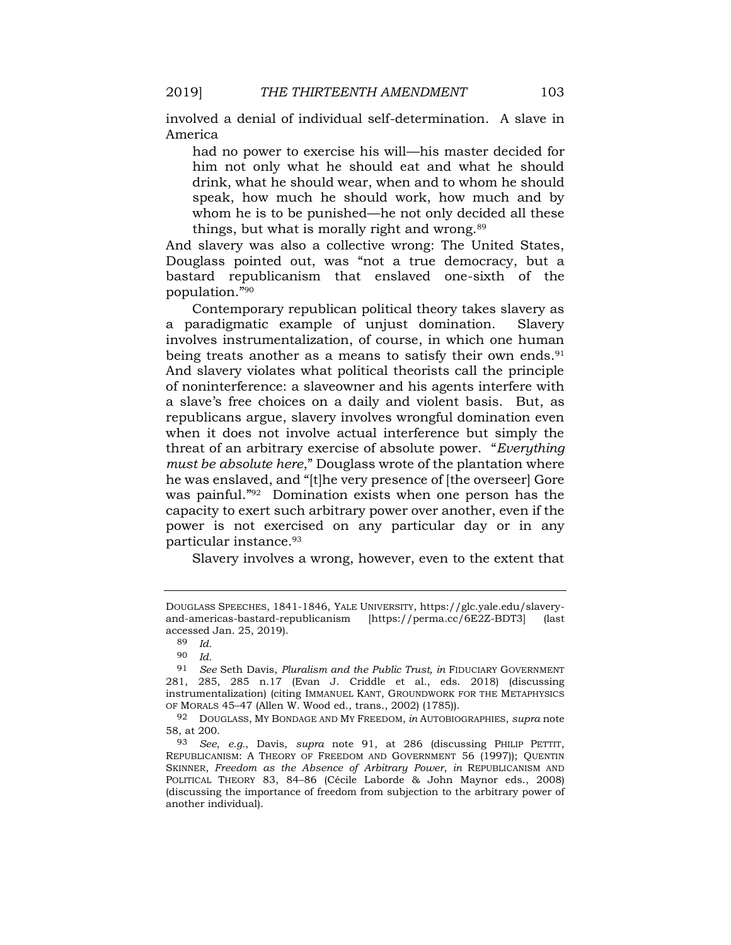involved a denial of individual self-determination. A slave in America

had no power to exercise his will—his master decided for him not only what he should eat and what he should drink, what he should wear, when and to whom he should speak, how much he should work, how much and by whom he is to be punished—he not only decided all these things, but what is morally right and wrong.<sup>89</sup>

And slavery was also a collective wrong: The United States, Douglass pointed out, was "not a true democracy, but a bastard republicanism that enslaved one-sixth of the population." 90

Contemporary republican political theory takes slavery as a paradigmatic example of unjust domination. Slavery involves instrumentalization, of course, in which one human being treats another as a means to satisfy their own ends.<sup>91</sup> And slavery violates what political theorists call the principle of noninterference: a slaveowner and his agents interfere with a slave's free choices on a daily and violent basis. But, as republicans argue, slavery involves wrongful domination even when it does not involve actual interference but simply the threat of an arbitrary exercise of absolute power. "*Everything must be absolute here*," Douglass wrote of the plantation where he was enslaved, and "[t]he very presence of [the overseer] Gore was painful." <sup>92</sup> Domination exists when one person has the capacity to exert such arbitrary power over another, even if the power is not exercised on any particular day or in any particular instance.<sup>93</sup>

Slavery involves a wrong, however, even to the extent that

DOUGLASS SPEECHES, 1841-1846, YALE UNIVERSITY, https://glc.yale.edu/slaveryand-americas-bastard-republicanism [https://perma.cc/6E2Z-BDT3] (last accessed Jan. 25, 2019).

<sup>89</sup> *Id.*

<sup>90</sup> *Id.*

<sup>91</sup> *See* Seth Davis, *Pluralism and the Public Trust, in* FIDUCIARY GOVERNMENT 281, 285, 285 n.17 (Evan J. Criddle et al., eds. 2018) (discussing instrumentalization) (citing IMMANUEL KANT, GROUNDWORK FOR THE METAPHYSICS OF MORALS 45–47 (Allen W. Wood ed., trans., 2002) (1785)).

<sup>92</sup> DOUGLASS, MY BONDAGE AND MY FREEDOM, *in* AUTOBIOGRAPHIES, *supra* note 58, at 200.

<sup>93</sup> *See*, *e.g.*, Davis, *supra* note 91, at 286 (discussing PHILIP PETTIT, REPUBLICANISM: A THEORY OF FREEDOM AND GOVERNMENT 56 (1997)); QUENTIN SKINNER, *Freedom as the Absence of Arbitrary Power*, *in* REPUBLICANISM AND POLITICAL THEORY 83, 84–86 (Cécile Laborde & John Maynor eds., 2008) (discussing the importance of freedom from subjection to the arbitrary power of another individual).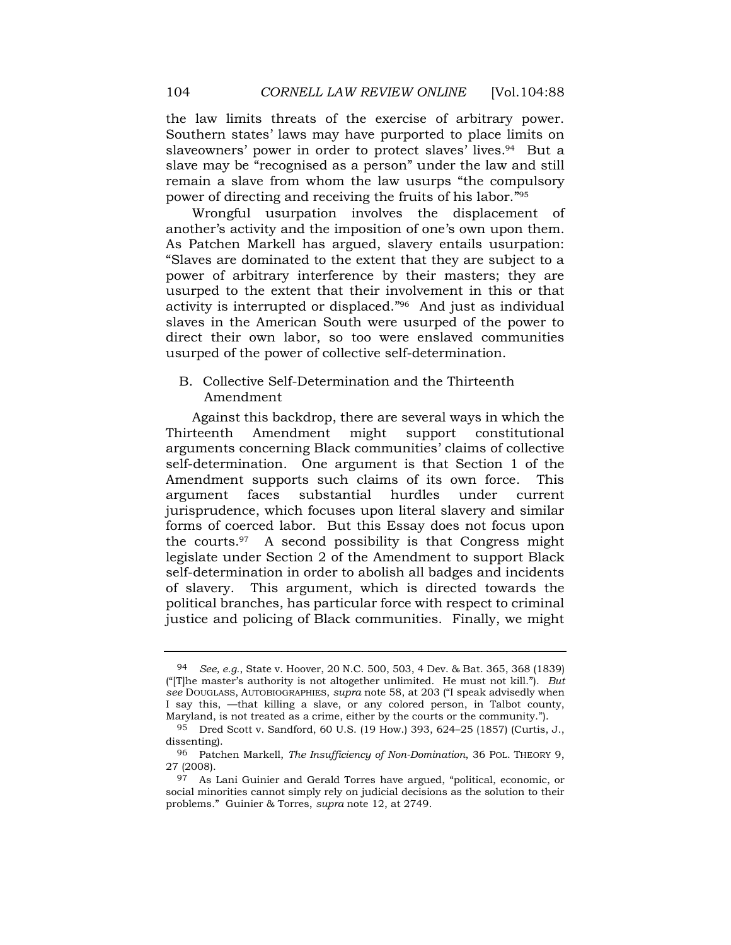the law limits threats of the exercise of arbitrary power. Southern states' laws may have purported to place limits on slaveowners' power in order to protect slaves' lives. <sup>94</sup> But a slave may be "recognised as a person" under the law and still remain a slave from whom the law usurps "the compulsory power of directing and receiving the fruits of his labor." 95

Wrongful usurpation involves the displacement of another's activity and the imposition of one's own upon them. As Patchen Markell has argued, slavery entails usurpation: "Slaves are dominated to the extent that they are subject to a power of arbitrary interference by their masters; they are usurped to the extent that their involvement in this or that activity is interrupted or displaced." 96 And just as individual slaves in the American South were usurped of the power to direct their own labor, so too were enslaved communities usurped of the power of collective self-determination.

# B. Collective Self-Determination and the Thirteenth Amendment

Against this backdrop, there are several ways in which the Thirteenth Amendment might support constitutional arguments concerning Black communities' claims of collective self-determination. One argument is that Section 1 of the Amendment supports such claims of its own force. This argument faces substantial hurdles under current jurisprudence, which focuses upon literal slavery and similar forms of coerced labor. But this Essay does not focus upon the courts.97 A second possibility is that Congress might legislate under Section 2 of the Amendment to support Black self-determination in order to abolish all badges and incidents of slavery. This argument, which is directed towards the political branches, has particular force with respect to criminal justice and policing of Black communities. Finally, we might

<sup>94</sup> *See, e.g.*, State v. Hoover, 20 N.C. 500, 503, 4 Dev. & Bat. 365, 368 (1839) ("[T]he master's authority is not altogether unlimited. He must not kill."). *But see* DOUGLASS, AUTOBIOGRAPHIES, *supra* note 58, at 203 ("I speak advisedly when I say this, —that killing a slave, or any colored person, in Talbot county, Maryland, is not treated as a crime, either by the courts or the community.").

<sup>95</sup> Dred Scott v. Sandford, 60 U.S. (19 How.) 393, 624–25 (1857) (Curtis, J., dissenting).

<sup>96</sup> Patchen Markell, *The Insufficiency of Non-Domination*, 36 POL. THEORY 9, 27 (2008).

<sup>97</sup> As Lani Guinier and Gerald Torres have argued, "political, economic, or social minorities cannot simply rely on judicial decisions as the solution to their problems." Guinier & Torres, *supra* note 12, at 2749.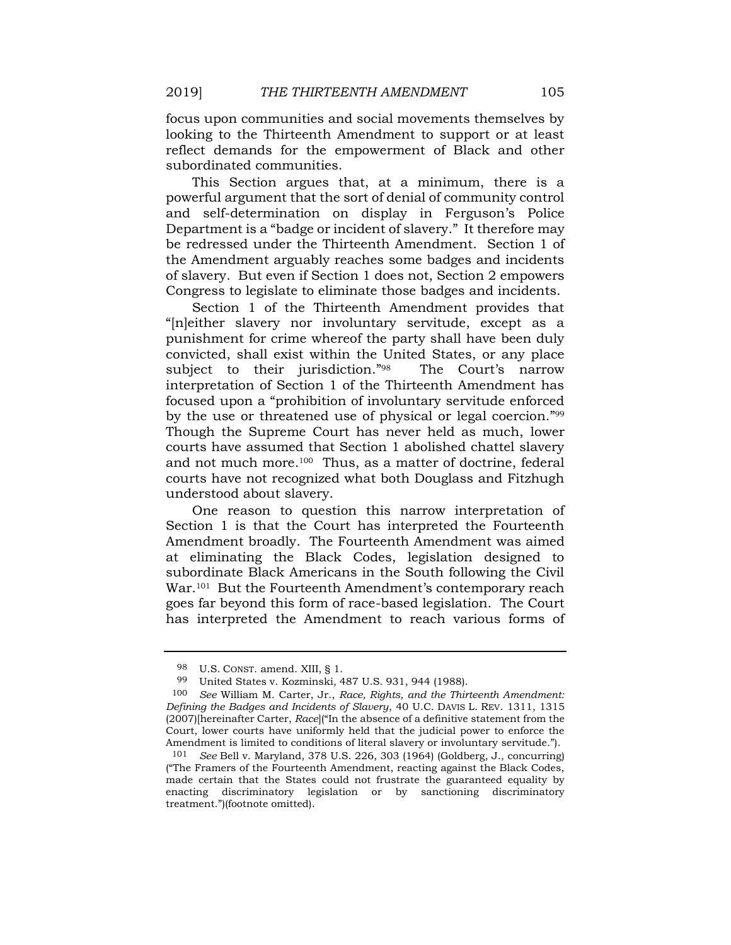focus upon communities and social movements themselves by looking to the Thirteenth Amendment to support or at least reflect demands for the empowerment of Black and other subordinated communities.

This Section argues that, at a minimum, there is a powerful argument that the sort of denial of community control and self-determination on display in Ferguson's Police Department is a "badge or incident of slavery." It therefore may be redressed under the Thirteenth Amendment. Section 1 of the Amendment arguably reaches some badges and incidents of slavery. But even if Section 1 does not, Section 2 empowers Congress to legislate to eliminate those badges and incidents.

Section 1 of the Thirteenth Amendment provides that "[n]either slavery nor involuntary servitude, except as a punishment for crime whereof the party shall have been duly convicted, shall exist within the United States, or any place subject to their jurisdiction."98 The Court's narrow interpretation of Section 1 of the Thirteenth Amendment has focused upon a "prohibition of involuntary servitude enforced by the use or threatened use of physical or legal coercion." <sup>99</sup> Though the Supreme Court has never held as much, lower courts have assumed that Section 1 abolished chattel slavery and not much more.<sup>100</sup> Thus, as a matter of doctrine, federal courts have not recognized what both Douglass and Fitzhugh understood about slavery.

One reason to question this narrow interpretation of Section 1 is that the Court has interpreted the Fourteenth Amendment broadly. The Fourteenth Amendment was aimed at eliminating the Black Codes, legislation designed to subordinate Black Americans in the South following the Civil War.<sup>101</sup> But the Fourteenth Amendment's contemporary reach goes far beyond this form of race-based legislation. The Court has interpreted the Amendment to reach various forms of

<sup>98</sup> U.S. CONST. amend. XIII, § 1.

<sup>99</sup> United States v. Kozminski, 487 U.S. 931, 944 (1988).

<sup>100</sup> *See* William M. Carter, Jr., *Race, Rights, and the Thirteenth Amendment: Defining the Badges and Incidents of Slavery*, 40 U.C. DAVIS L. REV. 1311, 1315 (2007)[hereinafter Carter, *Race*]("In the absence of a definitive statement from the Court, lower courts have uniformly held that the judicial power to enforce the Amendment is limited to conditions of literal slavery or involuntary servitude.").

<sup>101</sup> *See* Bell v. Maryland, 378 U.S. 226, 303 (1964) (Goldberg, J., concurring) ("The Framers of the Fourteenth Amendment, reacting against the Black Codes, made certain that the States could not frustrate the guaranteed equality by enacting discriminatory legislation or by sanctioning discriminatory treatment.")(footnote omitted).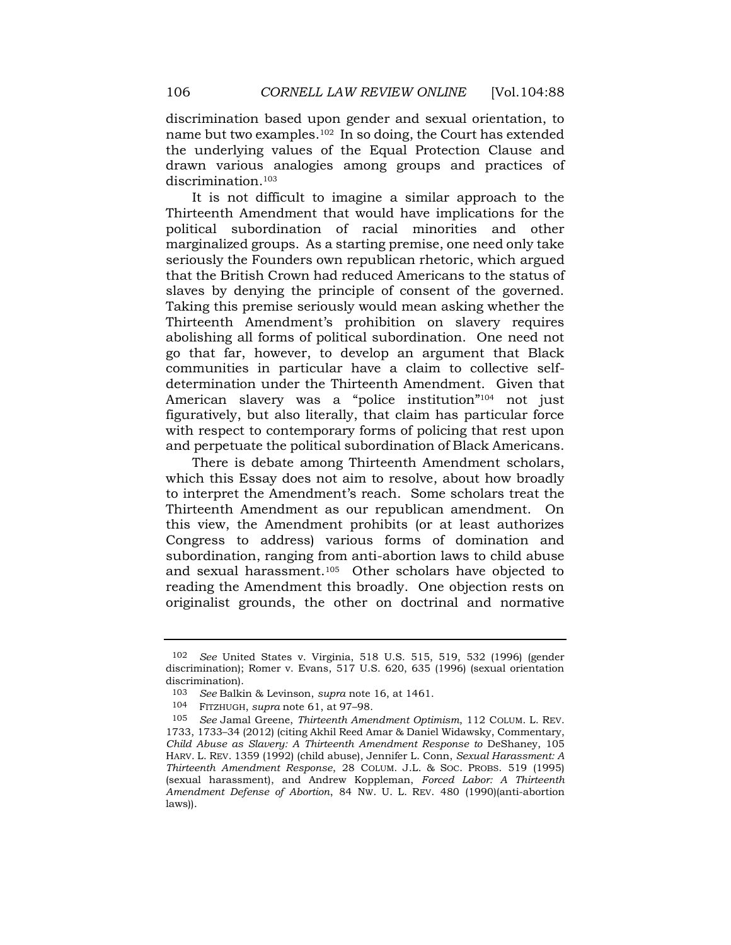discrimination based upon gender and sexual orientation, to name but two examples.102 In so doing, the Court has extended the underlying values of the Equal Protection Clause and drawn various analogies among groups and practices of discrimination.<sup>103</sup>

It is not difficult to imagine a similar approach to the Thirteenth Amendment that would have implications for the political subordination of racial minorities and other marginalized groups. As a starting premise, one need only take seriously the Founders own republican rhetoric, which argued that the British Crown had reduced Americans to the status of slaves by denying the principle of consent of the governed. Taking this premise seriously would mean asking whether the Thirteenth Amendment's prohibition on slavery requires abolishing all forms of political subordination. One need not go that far, however, to develop an argument that Black communities in particular have a claim to collective selfdetermination under the Thirteenth Amendment. Given that American slavery was a "police institution" <sup>104</sup> not just figuratively, but also literally, that claim has particular force with respect to contemporary forms of policing that rest upon and perpetuate the political subordination of Black Americans.

There is debate among Thirteenth Amendment scholars, which this Essay does not aim to resolve, about how broadly to interpret the Amendment's reach. Some scholars treat the Thirteenth Amendment as our republican amendment. On this view, the Amendment prohibits (or at least authorizes Congress to address) various forms of domination and subordination, ranging from anti-abortion laws to child abuse and sexual harassment.105 Other scholars have objected to reading the Amendment this broadly. One objection rests on originalist grounds, the other on doctrinal and normative

<sup>102</sup> *See* United States v. Virginia, 518 U.S. 515, 519, 532 (1996) (gender discrimination); Romer v. Evans, 517 U.S. 620, 635 (1996) (sexual orientation discrimination).

<sup>103</sup> *See* Balkin & Levinson, *supra* note 16, at 1461.

<sup>104</sup> FITZHUGH, *supra* note 61, at 97–98.

<sup>105</sup> *See* Jamal Greene, *Thirteenth Amendment Optimism*, 112 COLUM. L. REV. 1733, 1733–34 (2012) (citing Akhil Reed Amar & Daniel Widawsky, Commentary, *Child Abuse as Slavery: A Thirteenth Amendment Response to* DeShaney, 105 HARV. L. REV. 1359 (1992) (child abuse), Jennifer L. Conn, *Sexual Harassment: A Thirteenth Amendment Response*, 28 COLUM. J.L. & SOC. PROBS. 519 (1995) (sexual harassment), and Andrew Koppleman, *Forced Labor: A Thirteenth Amendment Defense of Abortion*, 84 NW. U. L. REV. 480 (1990)(anti-abortion laws)).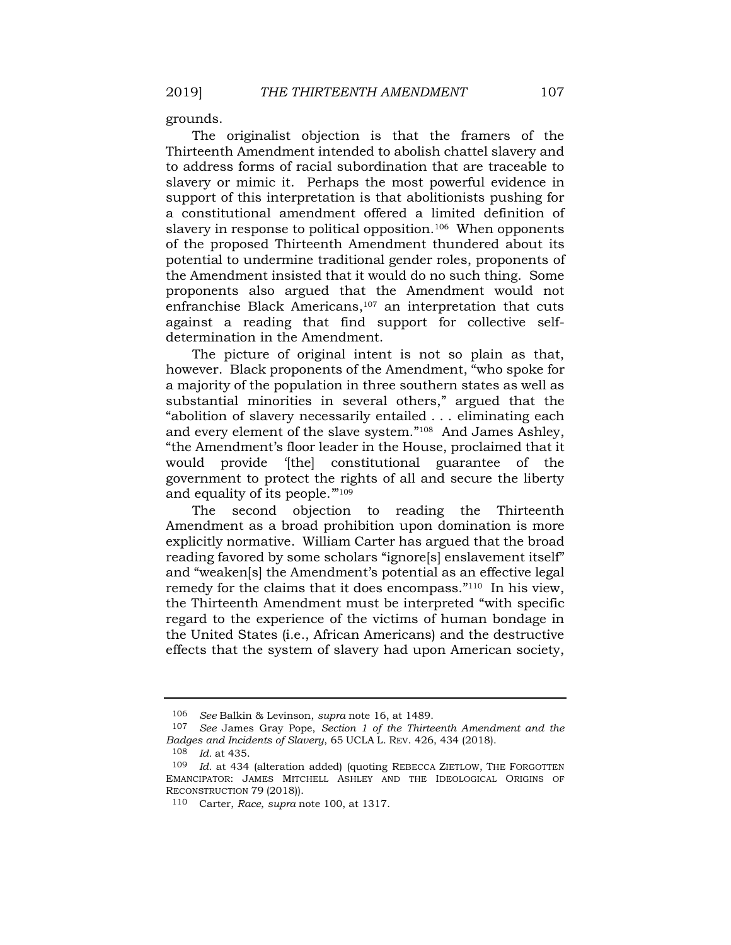grounds.

The originalist objection is that the framers of the Thirteenth Amendment intended to abolish chattel slavery and to address forms of racial subordination that are traceable to slavery or mimic it. Perhaps the most powerful evidence in support of this interpretation is that abolitionists pushing for a constitutional amendment offered a limited definition of slavery in response to political opposition.<sup>106</sup> When opponents of the proposed Thirteenth Amendment thundered about its potential to undermine traditional gender roles, proponents of the Amendment insisted that it would do no such thing. Some proponents also argued that the Amendment would not enfranchise Black Americans, $107$  an interpretation that cuts against a reading that find support for collective selfdetermination in the Amendment.

The picture of original intent is not so plain as that, however. Black proponents of the Amendment, "who spoke for a majority of the population in three southern states as well as substantial minorities in several others," argued that the "abolition of slavery necessarily entailed . . . eliminating each and every element of the slave system." <sup>108</sup> And James Ashley, "the Amendment's floor leader in the House, proclaimed that it would provide '[the] constitutional guarantee of the government to protect the rights of all and secure the liberty and equality of its people."<sup>109</sup>

The second objection to reading the Thirteenth Amendment as a broad prohibition upon domination is more explicitly normative. William Carter has argued that the broad reading favored by some scholars "ignore[s] enslavement itself" and "weaken[s] the Amendment's potential as an effective legal remedy for the claims that it does encompass."<sup>110</sup> In his view, the Thirteenth Amendment must be interpreted "with specific regard to the experience of the victims of human bondage in the United States (i.e., African Americans) and the destructive effects that the system of slavery had upon American society,

<sup>106</sup> *See* Balkin & Levinson, *supra* note 16, at 1489.

<sup>107</sup> *See* James Gray Pope, *Section 1 of the Thirteenth Amendment and the Badges and Incidents of Slavery*, 65 UCLA L. REV. 426, 434 (2018).

<sup>108</sup> *Id.* at 435.

<sup>109</sup> *Id.* at 434 (alteration added) (quoting REBECCA ZIETLOW, THE FORGOTTEN EMANCIPATOR: JAMES MITCHELL ASHLEY AND THE IDEOLOGICAL ORIGINS OF RECONSTRUCTION 79 (2018)).

<sup>110</sup> Carter, *Race*, *supra* note 100, at 1317.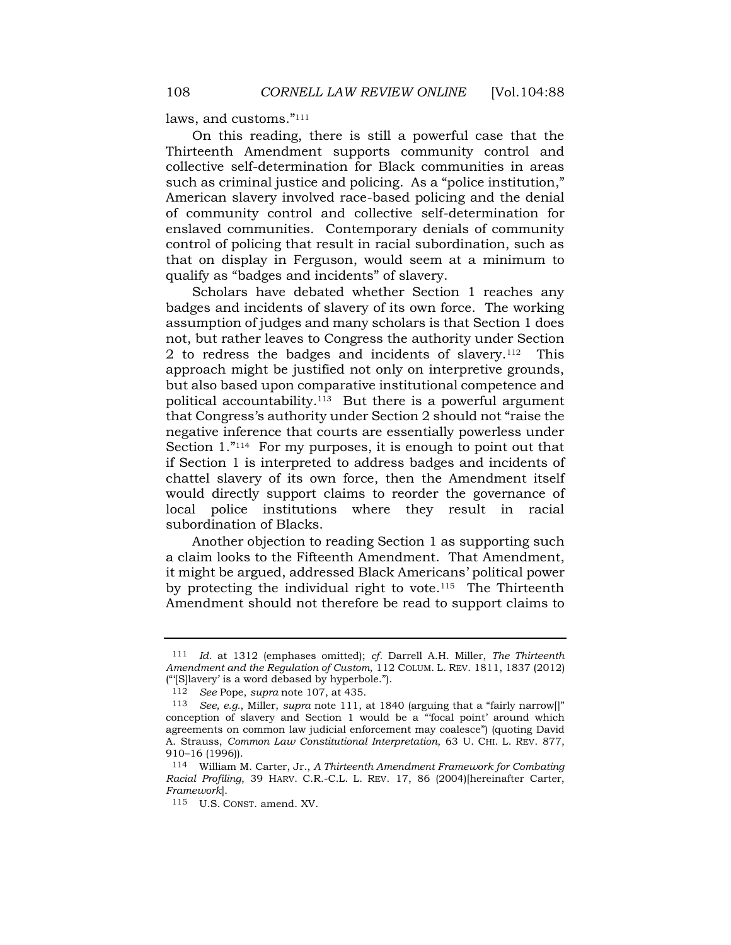laws, and customs." 111

On this reading, there is still a powerful case that the Thirteenth Amendment supports community control and collective self-determination for Black communities in areas such as criminal justice and policing. As a "police institution," American slavery involved race-based policing and the denial of community control and collective self-determination for enslaved communities. Contemporary denials of community control of policing that result in racial subordination, such as that on display in Ferguson, would seem at a minimum to qualify as "badges and incidents" of slavery.

Scholars have debated whether Section 1 reaches any badges and incidents of slavery of its own force. The working assumption of judges and many scholars is that Section 1 does not, but rather leaves to Congress the authority under Section 2 to redress the badges and incidents of slavery.112 This approach might be justified not only on interpretive grounds, but also based upon comparative institutional competence and political accountability.<sup>113</sup> But there is a powerful argument that Congress's authority under Section 2 should not "raise the negative inference that courts are essentially powerless under Section 1."<sup>114</sup> For my purposes, it is enough to point out that if Section 1 is interpreted to address badges and incidents of chattel slavery of its own force, then the Amendment itself would directly support claims to reorder the governance of local police institutions where they result in racial subordination of Blacks.

Another objection to reading Section 1 as supporting such a claim looks to the Fifteenth Amendment. That Amendment, it might be argued, addressed Black Americans' political power by protecting the individual right to vote.<sup>115</sup> The Thirteenth Amendment should not therefore be read to support claims to

<sup>111</sup> *Id.* at 1312 (emphases omitted); *cf.* Darrell A.H. Miller, *The Thirteenth Amendment and the Regulation of Custom*, 112 COLUM. L. REV. 1811, 1837 (2012) ("'[S]lavery' is a word debased by hyperbole.").

<sup>112</sup> *See* Pope, *supra* note 107, at 435.

<sup>113</sup> *See, e.g.*, Miller, *supra* note 111, at 1840 (arguing that a "fairly narrow[]" conception of slavery and Section 1 would be a "'focal point' around which agreements on common law judicial enforcement may coalesce") (quoting David A. Strauss, *Common Law Constitutional Interpretation*, 63 U. CHI. L. REV. 877, 910–16 (1996)).

<sup>114</sup> William M. Carter, Jr., *A Thirteenth Amendment Framework for Combating Racial Profiling*, 39 HARV. C.R.-C.L. L. REV. 17, 86 (2004)[hereinafter Carter, *Framework*].

<sup>115</sup> U.S. CONST. amend. XV.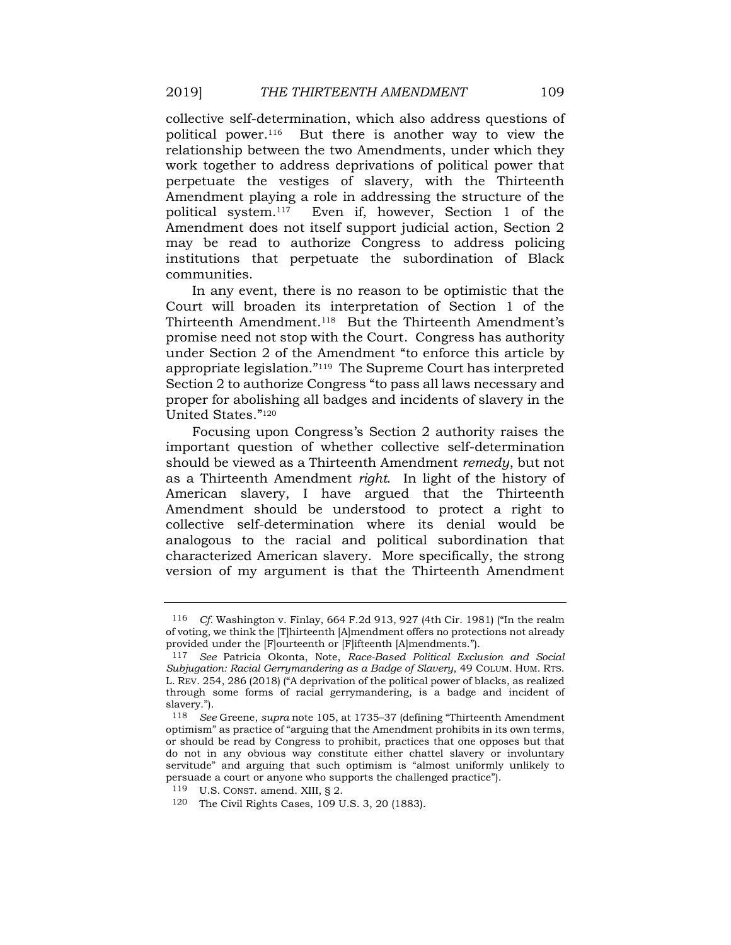collective self-determination, which also address questions of political power.116 But there is another way to view the relationship between the two Amendments, under which they work together to address deprivations of political power that perpetuate the vestiges of slavery, with the Thirteenth Amendment playing a role in addressing the structure of the political system.117 Even if, however, Section 1 of the Amendment does not itself support judicial action, Section 2 may be read to authorize Congress to address policing institutions that perpetuate the subordination of Black communities.

In any event, there is no reason to be optimistic that the Court will broaden its interpretation of Section 1 of the Thirteenth Amendment.118 But the Thirteenth Amendment's promise need not stop with the Court. Congress has authority under Section 2 of the Amendment "to enforce this article by appropriate legislation." <sup>119</sup> The Supreme Court has interpreted Section 2 to authorize Congress "to pass all laws necessary and proper for abolishing all badges and incidents of slavery in the United States." 120

Focusing upon Congress's Section 2 authority raises the important question of whether collective self-determination should be viewed as a Thirteenth Amendment *remedy*, but not as a Thirteenth Amendment *right*. In light of the history of American slavery, I have argued that the Thirteenth Amendment should be understood to protect a right to collective self-determination where its denial would be analogous to the racial and political subordination that characterized American slavery. More specifically, the strong version of my argument is that the Thirteenth Amendment

<sup>116</sup> *Cf.* Washington v. Finlay, 664 F.2d 913, 927 (4th Cir. 1981) ("In the realm of voting, we think the [T]hirteenth [A]mendment offers no protections not already provided under the [F]ourteenth or [F]ifteenth [A]mendments.").

<sup>117</sup> *See* Patricia Okonta, Note, *Race-Based Political Exclusion and Social Subjugation: Racial Gerrymandering as a Badge of Slavery*, 49 COLUM. HUM. RTS. L. REV. 254, 286 (2018) ("A deprivation of the political power of blacks, as realized through some forms of racial gerrymandering, is a badge and incident of slavery.").

<sup>118</sup> *See* Greene, *supra* note 105, at 1735–37 (defining "Thirteenth Amendment optimism" as practice of "arguing that the Amendment prohibits in its own terms, or should be read by Congress to prohibit, practices that one opposes but that do not in any obvious way constitute either chattel slavery or involuntary servitude" and arguing that such optimism is "almost uniformly unlikely to persuade a court or anyone who supports the challenged practice").

<sup>119</sup> U.S. CONST. amend. XIII, § 2.

<sup>120</sup> The Civil Rights Cases, 109 U.S. 3, 20 (1883).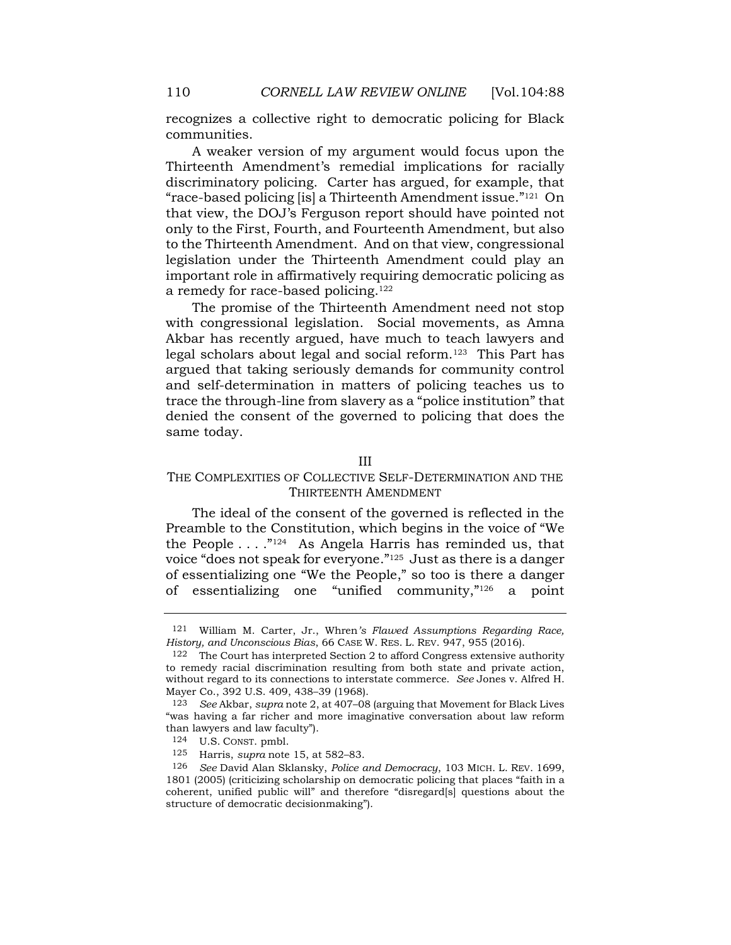recognizes a collective right to democratic policing for Black communities.

A weaker version of my argument would focus upon the Thirteenth Amendment's remedial implications for racially discriminatory policing. Carter has argued, for example, that "race-based policing [is] a Thirteenth Amendment issue." <sup>121</sup> On that view, the DOJ's Ferguson report should have pointed not only to the First, Fourth, and Fourteenth Amendment, but also to the Thirteenth Amendment. And on that view, congressional legislation under the Thirteenth Amendment could play an important role in affirmatively requiring democratic policing as a remedy for race-based policing.<sup>122</sup>

The promise of the Thirteenth Amendment need not stop with congressional legislation. Social movements, as Amna Akbar has recently argued, have much to teach lawyers and legal scholars about legal and social reform.<sup>123</sup> This Part has argued that taking seriously demands for community control and self-determination in matters of policing teaches us to trace the through-line from slavery as a "police institution" that denied the consent of the governed to policing that does the same today.

## III

# THE COMPLEXITIES OF COLLECTIVE SELF-DETERMINATION AND THE THIRTEENTH AMENDMENT

The ideal of the consent of the governed is reflected in the Preamble to the Constitution, which begins in the voice of "We the People  $\dots$ ."<sup>124</sup> As Angela Harris has reminded us, that voice "does not speak for everyone." <sup>125</sup> Just as there is a danger of essentializing one "We the People," so too is there a danger of essentializing one "unified community," <sup>126</sup> a point

<sup>121</sup> William M. Carter, Jr., Whren*'s Flawed Assumptions Regarding Race, History, and Unconscious Bias*, 66 CASE W. RES. L. REV. 947, 955 (2016).

<sup>122</sup> The Court has interpreted Section 2 to afford Congress extensive authority to remedy racial discrimination resulting from both state and private action, without regard to its connections to interstate commerce. *See* Jones v. Alfred H. Mayer Co., 392 U.S. 409, 438–39 (1968).

<sup>123</sup> *See* Akbar, *supra* not[e 2,](#page-0-0) at 407–08 (arguing that Movement for Black Lives "was having a far richer and more imaginative conversation about law reform than lawyers and law faculty").

<sup>124</sup> U.S. CONST. pmbl.

<sup>125</sup> Harris, *supra* note 15, at 582–83.

<sup>126</sup> *See* David Alan Sklansky, *Police and Democracy*, 103 MICH. L. REV. 1699, 1801 (2005) (criticizing scholarship on democratic policing that places "faith in a coherent, unified public will" and therefore "disregard[s] questions about the structure of democratic decisionmaking").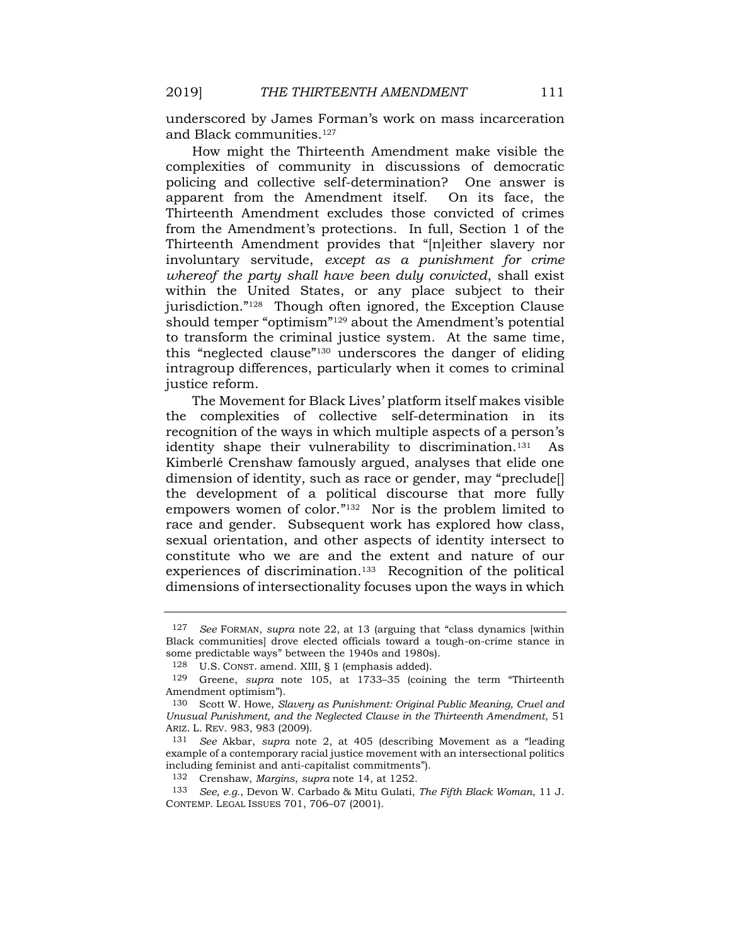underscored by James Forman's work on mass incarceration and Black communities.<sup>127</sup>

How might the Thirteenth Amendment make visible the complexities of community in discussions of democratic policing and collective self-determination? One answer is apparent from the Amendment itself. On its face, the Thirteenth Amendment excludes those convicted of crimes from the Amendment's protections. In full, Section 1 of the Thirteenth Amendment provides that "[n]either slavery nor involuntary servitude, *except as a punishment for crime whereof the party shall have been duly convicted*, shall exist within the United States, or any place subject to their jurisdiction." 128 Though often ignored, the Exception Clause should temper "optimism" <sup>129</sup> about the Amendment's potential to transform the criminal justice system. At the same time, this "neglected clause" <sup>130</sup> underscores the danger of eliding intragroup differences, particularly when it comes to criminal justice reform.

The Movement for Black Lives' platform itself makes visible the complexities of collective self-determination in its recognition of the ways in which multiple aspects of a person's identity shape their vulnerability to discrimination.<sup>131</sup> As Kimberlé Crenshaw famously argued, analyses that elide one dimension of identity, such as race or gender, may "preclude. the development of a political discourse that more fully empowers women of color." <sup>132</sup> Nor is the problem limited to race and gender. Subsequent work has explored how class, sexual orientation, and other aspects of identity intersect to constitute who we are and the extent and nature of our experiences of discrimination.133 Recognition of the political dimensions of intersectionality focuses upon the ways in which

<sup>127</sup> *See* FORMAN, *supra* note [22,](#page-4-0) at 13 (arguing that "class dynamics [within Black communities] drove elected officials toward a tough-on-crime stance in some predictable ways" between the 1940s and 1980s).

<sup>128</sup> U.S. CONST. amend. XIII, § 1 (emphasis added).

<sup>129</sup> Greene, *supra* note 105, at 1733–35 (coining the term "Thirteenth Amendment optimism").

<sup>130</sup> Scott W. Howe, *Slavery as Punishment: Original Public Meaning, Cruel and Unusual Punishment, and the Neglected Clause in the Thirteenth Amendment*, 51 ARIZ. L. REV. 983, 983 (2009).

<sup>131</sup> *See* Akbar, *supra* note [2,](#page-0-0) at 405 (describing Movement as a "leading example of a contemporary racial justice movement with an intersectional politics including feminist and anti-capitalist commitments").

<sup>132</sup> Crenshaw, *Margins*, *supra* note 14, at 1252.

<sup>133</sup> *See, e.g.*, Devon W. Carbado & Mitu Gulati, *The Fifth Black Woman*, 11 J. CONTEMP. LEGAL ISSUES 701, 706–07 (2001).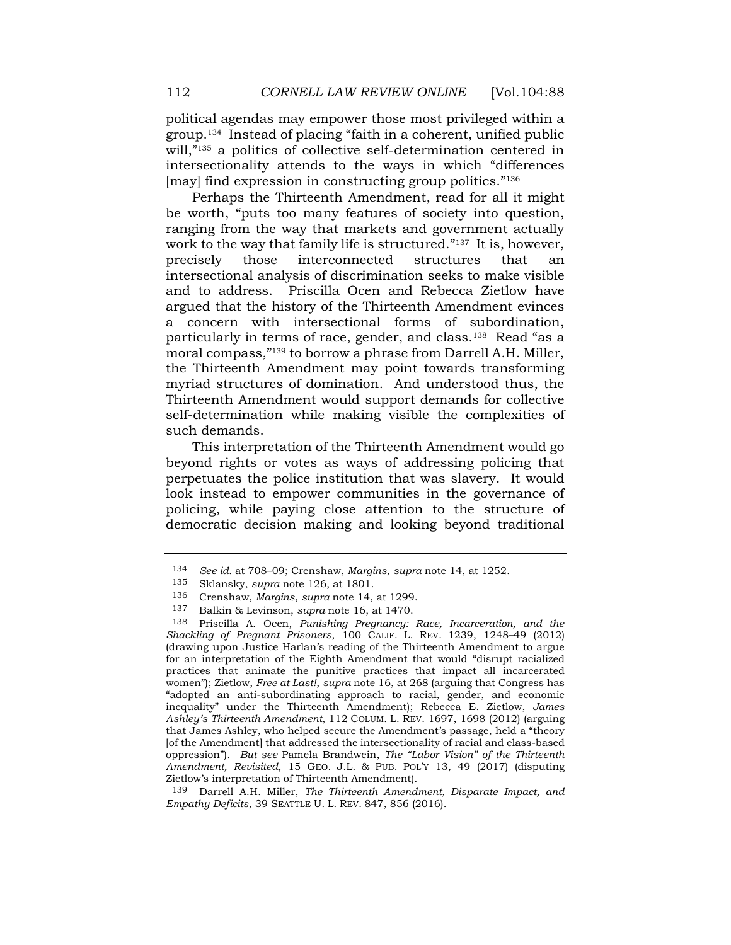political agendas may empower those most privileged within a group.<sup>134</sup> Instead of placing "faith in a coherent, unified public will,"<sup>135</sup> a politics of collective self-determination centered in intersectionality attends to the ways in which "differences [may] find expression in constructing group politics." 136

Perhaps the Thirteenth Amendment, read for all it might be worth, "puts too many features of society into question, ranging from the way that markets and government actually work to the way that family life is structured." <sup>137</sup> It is, however, precisely those interconnected structures that an intersectional analysis of discrimination seeks to make visible and to address. Priscilla Ocen and Rebecca Zietlow have argued that the history of the Thirteenth Amendment evinces a concern with intersectional forms of subordination, particularly in terms of race, gender, and class.138 Read "as a moral compass," <sup>139</sup> to borrow a phrase from Darrell A.H. Miller, the Thirteenth Amendment may point towards transforming myriad structures of domination. And understood thus, the Thirteenth Amendment would support demands for collective self-determination while making visible the complexities of such demands.

This interpretation of the Thirteenth Amendment would go beyond rights or votes as ways of addressing policing that perpetuates the police institution that was slavery. It would look instead to empower communities in the governance of policing, while paying close attention to the structure of democratic decision making and looking beyond traditional

<sup>134</sup> *See id.* at 708–09; Crenshaw, *Margins*, *supra* note 14, at 1252.

<sup>135</sup> Sklansky, *supra* note 126, at 1801.

<sup>136</sup> Crenshaw, *Margins*, *supra* note 14, at 1299.

<sup>137</sup> Balkin & Levinson, *supra* note 16, at 1470.

<sup>138</sup> Priscilla A. Ocen, *Punishing Pregnancy: Race, Incarceration, and the Shackling of Pregnant Prisoners*, 100 CALIF. L. REV. 1239, 1248–49 (2012) (drawing upon Justice Harlan's reading of the Thirteenth Amendment to argue for an interpretation of the Eighth Amendment that would "disrupt racialized practices that animate the punitive practices that impact all incarcerated women"); Zietlow, *Free at Last!*, *supra* note 16, at 268 (arguing that Congress has "adopted an anti-subordinating approach to racial, gender, and economic inequality" under the Thirteenth Amendment); Rebecca E. Zietlow, *James Ashley's Thirteenth Amendment*, 112 COLUM. L. REV. 1697, 1698 (2012) (arguing that James Ashley, who helped secure the Amendment's passage, held a "theory [of the Amendment] that addressed the intersectionality of racial and class-based oppression"). *But see* Pamela Brandwein, *The "Labor Vision" of the Thirteenth Amendment, Revisited*, 15 GEO. J.L. & PUB. POL'Y 13, 49 (2017) (disputing Zietlow's interpretation of Thirteenth Amendment).

<sup>139</sup> Darrell A.H. Miller, *The Thirteenth Amendment, Disparate Impact, and Empathy Deficits*, 39 SEATTLE U. L. REV. 847, 856 (2016).